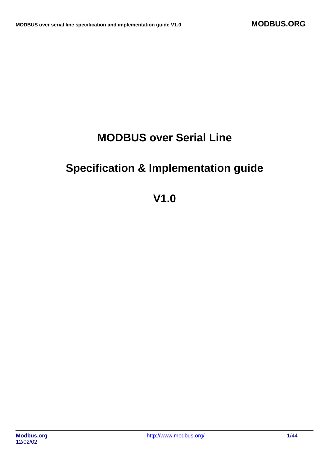# **MODBUS over Serial Line**

# **Specification & Implementation guide**

**V1.0**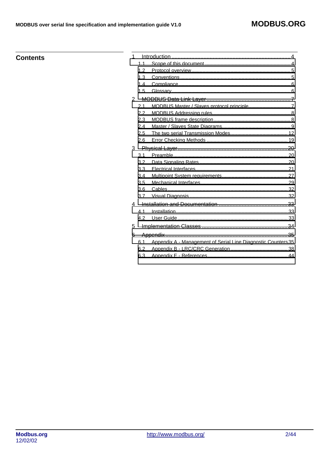# **Contents**

| 1             |     |                                                               |
|---------------|-----|---------------------------------------------------------------|
|               | 1.1 |                                                               |
|               | 1.2 |                                                               |
|               | 1.3 |                                                               |
|               | 1.4 |                                                               |
|               | 1.5 |                                                               |
| $\mathcal{P}$ |     |                                                               |
|               | 2.1 | MODBUS Master / Slaves protocol principle 7                   |
|               | 2.2 |                                                               |
|               | 2.3 |                                                               |
|               | 2.4 |                                                               |
|               | 2.5 |                                                               |
|               | 2.6 |                                                               |
| 3             |     |                                                               |
|               | 3.1 |                                                               |
|               | 3.2 |                                                               |
|               | 3.3 |                                                               |
|               | 3.4 |                                                               |
|               | 3.5 |                                                               |
|               | 3.6 |                                                               |
|               | 3.7 |                                                               |
| 4             |     |                                                               |
|               | 41  |                                                               |
|               | 4.2 |                                                               |
| 5             |     |                                                               |
| 6             |     |                                                               |
|               | 6.1 | Appendix A - Management of Serial Line Diagnostic Counters 35 |
|               | 6.2 |                                                               |
|               | 6.3 |                                                               |
|               |     |                                                               |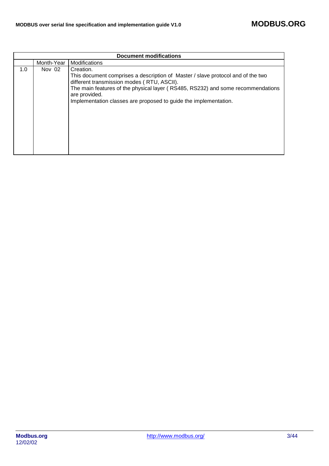|     | <b>Document modifications</b> |                                                                                                                                                                                                                                                                                                                    |  |  |  |  |  |  |  |
|-----|-------------------------------|--------------------------------------------------------------------------------------------------------------------------------------------------------------------------------------------------------------------------------------------------------------------------------------------------------------------|--|--|--|--|--|--|--|
|     | Month-Year                    | <b>Modifications</b>                                                                                                                                                                                                                                                                                               |  |  |  |  |  |  |  |
| 1.0 | Nov 02                        | Creation.<br>This document comprises a description of Master / slave protocol and of the two<br>different transmission modes (RTU, ASCII).<br>The main features of the physical layer (RS485, RS232) and some recommendations<br>are provided.<br>Implementation classes are proposed to guide the implementation. |  |  |  |  |  |  |  |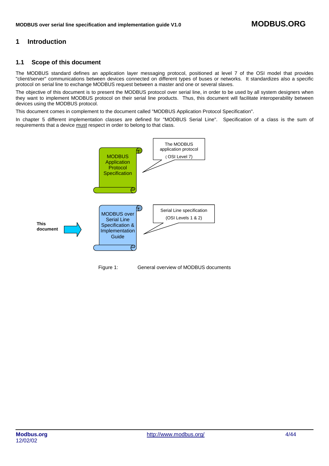# <span id="page-3-0"></span>**1 Introduction**

# **1.1 Scope of this document**

The MODBUS standard defines an application layer messaging protocol, positioned at level 7 of the OSI model that provides "client/server" communications between devices connected on different types of buses or networks. It standardizes also a specific protocol on serial line to exchange MODBUS request between a master and one or several slaves.

The objective of this document is to present the MODBUS protocol over serial line, in order to be used by all system designers when they want to implement MODBUS protocol on their serial line products. Thus, this document will facilitate interoperability between devices using the MODBUS protocol.

This document comes in complement to the document called "MODBUS Application Protocol Specification".

In chapter 5 different implementation classes are defined for "MODBUS Serial Line". Specification of a class is the sum of requirements that a device must respect in order to belong to that class.

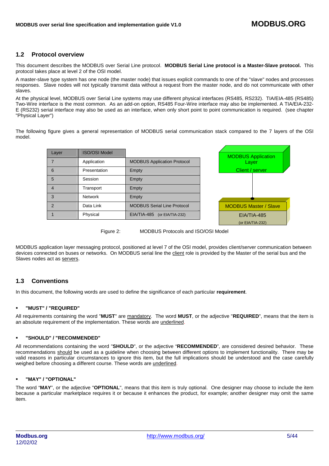# <span id="page-4-0"></span>**1.2 Protocol overview**

This document describes the MODBUS over Serial Line protocol. **MODBUS Serial Line protocol is a Master-Slave protocol.** This protocol takes place at level 2 of the OSI model.

A master-slave type system has one node (the master node) that issues explicit commands to one of the "slave" nodes and processes responses. Slave nodes will not typically transmit data without a request from the master node, and do not communicate with other slaves.

At the physical level, MODBUS over Serial Line systems may use different physical interfaces (RS485, RS232). TIA/EIA-485 (RS485) Two-Wire interface is the most common. As an add-on option, RS485 Four-Wire interface may also be implemented. A TIA/EIA-232- E (RS232) serial interface may also be used as an interface, when only short point to point communication is required. (see chapter "Physical Layer")

The following figure gives a general representation of MODBUS serial communication stack compared to the 7 layers of the OSI model.

|               | <b>ISO/OSI Model</b> |                                    |               |
|---------------|----------------------|------------------------------------|---------------|
| Layer         |                      |                                    | <b>MODBL</b>  |
|               | Application          | <b>MODBUS Application Protocol</b> |               |
| 6             | Presentation         | Empty                              | Clie          |
| 5             | Session              | Empty                              |               |
| 4             | Transport            | Empty                              |               |
| 3             | <b>Network</b>       | Empty                              |               |
| $\mathcal{P}$ | Data Link            | <b>MODBUS Serial Line Protocol</b> | <b>MODBUS</b> |
|               | Physical             | EIA/TIA-485 (or EIA/TIA-232)       | El            |
|               |                      |                                    |               |



Figure 2: MODBUS Protocols and ISO/OSI Model

MODBUS application layer messaging protocol, positioned at level 7 of the OSI model, provides client/server communication between devices connected on buses or networks. On MODBUS serial line the client role is provided by the Master of the serial bus and the Slaves nodes act as servers.

# **1.3 Conventions**

In this document, the following words are used to define the significance of each particular **requirement**.

#### **"MUST" / "REQUIRED"**

All requirements containing the word "**MUST**" are mandatory. The word **MUST**, or the adjective "**REQUIRED**", means that the item is an absolute requirement of the implementation. These words are underlined.

#### **"SHOULD" / "RECOMMENDED"**

All recommendations containing the word "**SHOULD**", or the adjective "**RECOMMENDED**", are considered desired behavior. These recommendations should be used as a guideline when choosing between different options to implement functionality. There may be valid reasons in particular circumstances to ignore this item, but the full implications should be understood and the case carefully weighed before choosing a different course. These words are underlined.

### **"MAY" / "OPTIONAL"**

The word "**MAY**", or the adjective "**OPTIONAL**", means that this item is truly optional. One designer may choose to include the item because a particular marketplace requires it or because it enhances the product, for example; another designer may omit the same item.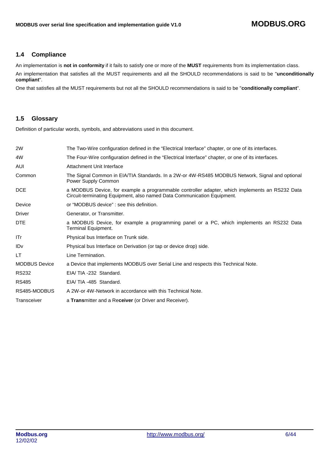# <span id="page-5-0"></span>**1.4 Compliance**

An implementation is **not in conformity** if it fails to satisfy one or more of the **MUST** requirements from its implementation class. An implementation that satisfies all the MUST requirements and all the SHOULD recommendations is said to be "**unconditionally compliant**".

One that satisfies all the MUST requirements but not all the SHOULD recommendations is said to be "**conditionally compliant**".

# **1.5 Glossary**

Definition of particular words, symbols, and abbreviations used in this document.

| 2W                   | The Two-Wire configuration defined in the "Electrical Interface" chapter, or one of its interfaces.                                                                       |
|----------------------|---------------------------------------------------------------------------------------------------------------------------------------------------------------------------|
| 4W                   | The Four-Wire configuration defined in the "Electrical Interface" chapter, or one of its interfaces.                                                                      |
| AUI                  | Attachment Unit Interface                                                                                                                                                 |
| Common               | The Signal Common in EIA/TIA Standards. In a 2W-or 4W-RS485 MODBUS Network, Signal and optional<br>Power Supply Common                                                    |
| <b>DCE</b>           | a MODBUS Device, for example a programmable controller adapter, which implements an RS232 Data<br>Circuit-terminating Equipment, also named Data Communication Equipment. |
| Device               | or "MODBUS device" : see this definition.                                                                                                                                 |
| Driver               | Generator, or Transmitter.                                                                                                                                                |
| <b>DTE</b>           | a MODBUS Device, for example a programming panel or a PC, which implements an RS232 Data<br>Terminal Equipment.                                                           |
| ITr                  | Physical bus Interface on Trunk side.                                                                                                                                     |
| ID <sub>v</sub>      | Physical bus Interface on Derivation (or tap or device drop) side.                                                                                                        |
| LT                   | Line Termination.                                                                                                                                                         |
| <b>MODBUS Device</b> | a Device that implements MODBUS over Serial Line and respects this Technical Note.                                                                                        |
| <b>RS232</b>         | EIA/TIA-232 Standard.                                                                                                                                                     |
| RS485                | EIA/TIA-485 Standard.                                                                                                                                                     |
| RS485-MODBUS         | A 2W-or 4W-Network in accordance with this Technical Note.                                                                                                                |
| Transceiver          | a Transmitter and a Receiver (or Driver and Receiver).                                                                                                                    |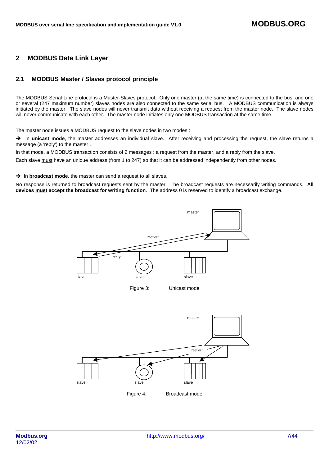# <span id="page-6-0"></span>**2 MODBUS Data Link Layer**

# **2.1 MODBUS Master / Slaves protocol principle**

The MODBUS Serial Line protocol is a Master-Slaves protocol. Only one master (at the same time) is connected to the bus, and one or several (247 maximum number) slaves nodes are also connected to the same serial bus. A MODBUS communication is always initiated by the master. The slave nodes will never transmit data without receiving a request from the master node. The slave nodes will never communicate with each other. The master node initiates only one MODBUS transaction at the same time.

The master node issues a MODBUS request to the slave nodes in two modes :

→ In **unicast mode**, the master addresses an individual slave. After receiving and processing the request, the slave returns a message (a 'reply') to the master.

In that mode, a MODBUS transaction consists of 2 messages : a request from the master, and a reply from the slave.

Each slave must have an unique address (from 1 to 247) so that it can be addressed independently from other nodes.

 $\rightarrow$  In **broadcast mode**, the master can send a request to all slaves.

No response is returned to broadcast requests sent by the master. The broadcast requests are necessarily writing commands. **All devices must accept the broadcast for writing function**. The address 0 is reserved to identify a broadcast exchange.

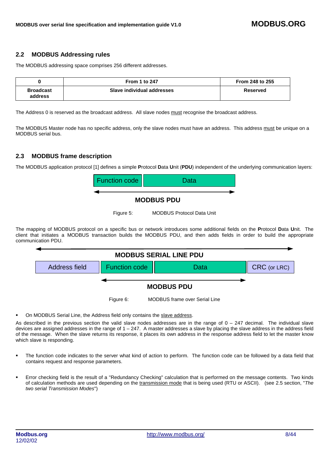# <span id="page-7-0"></span>**2.2 MODBUS Addressing rules**

The MODBUS addressing space comprises 256 different addresses.

|                             | <b>From 1 to 247</b>       | From 248 to 255 |
|-----------------------------|----------------------------|-----------------|
| <b>Broadcast</b><br>address | Slave individual addresses | Reserved        |

The Address 0 is reserved as the broadcast address. All slave nodes must recognise the broadcast address.

The MODBUS Master node has no specific address, only the slave nodes must have an address. This address must be unique on a MODBUS serial bus.

# **2.3 MODBUS frame description**

The MODBUS application protocol [1] defines a simple **P**rotocol **D**ata **U**nit (**PDU**) independent of the underlying communication layers:



# **MODBUS PDU**

Figure 5: MODBUS Protocol Data Unit

The mapping of MODBUS protocol on a specific bus or network introduces some additional fields on the **P**rotocol **D**ata **U**nit. The client that initiates a MODBUS transaction builds the MODBUS PDU, and then adds fields in order to build the appropriate communication PDU.



On MODBUS Serial Line, the Address field only contains the slave address.

As described in the previous section the valid slave nodes addresses are in the range of  $0 - 247$  decimal. The individual slave devices are assigned addresses in the range of  $1 - 247$ . A master addresses a slave by placing the slave address in the address field of the message. When the slave returns its response, it places its own address in the response address field to let the master know which slave is responding.

- The function code indicates to the server what kind of action to perform. The function code can be followed by a data field that contains request and response parameters.
- Error checking field is the result of a "Redundancy Checking" calculation that is performed on the message contents. Two kinds of calculation methods are used depending on the transmission mode that is being used (RTU or ASCII). (see 2.5 section, "*The two serial Transmission Modes*")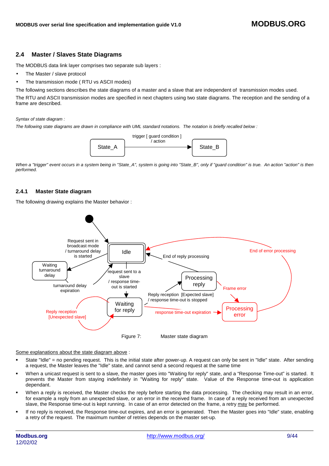# <span id="page-8-0"></span>**2.4 Master / Slaves State Diagrams**

The MODBUS data link layer comprises two separate sub layers :

- The Master / slave protocol
- The transmission mode ( RTU vs ASCII modes)

The following sections describes the state diagrams of a master and a slave that are independent of transmission modes used.

The RTU and ASCII transmission modes are specified in next chapters using two state diagrams. The reception and the sending of a frame are described.

#### *Syntax of state diagram :*

*The following state diagrams are drawn in compliance with UML standard notations. The notation is briefly recalled below :* 



When a "trigger" event occurs in a system being in "State A", system is going into "State B", only if "guard condition" is true. An action "action" is then *performed.* 

#### **2.4.1 Master State diagram**

The following drawing explains the Master behavior :



Some explanations about the state diagram above :

- State "Idle" = no pending request. This is the initial state after power-up. A request can only be sent in "Idle" state. After sending a request, the Master leaves the "Idle" state, and cannot send a second request at the same time
- When a unicast request is sent to a slave, the master goes into "Waiting for reply" state, and a "Response Time-out" is started. It prevents the Master from staying indefinitely in "Waiting for reply" state. Value of the Response time-out is application dependant.
- When a reply is received, the Master checks the reply before starting the data processing. The checking may result in an error, for example a reply from an unexpected slave, or an error in the received frame. In case of a reply received from an unexpected slave, the Response time-out is kept running. In case of an error detected on the frame, a retry may be performed.
- If no reply is received, the Response time-out expires, and an error is generated. Then the Master goes into "Idle" state, enabling a retry of the request. The maximum number of retries depends on the master set-up.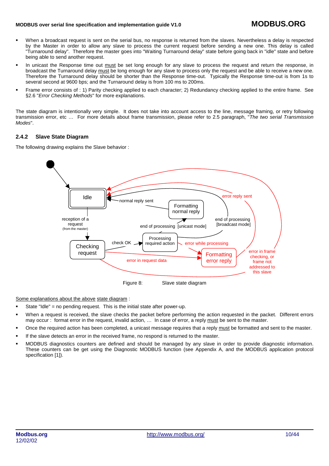# MODBUS over serial line specification and implementation guide V1.0 **MODBUS.ORG**

- When a broadcast request is sent on the serial bus, no response is returned from the slaves. Nevertheless a delay is respected by the Master in order to allow any slave to process the current request before sending a new one. This delay is called "Turnaround delay". Therefore the master goes into "Waiting Turnaround delay" state before going back in "idle" state and before being able to send another request.
- In unicast the Response time out must be set long enough for any slave to process the request and return the response, in broadcast the Turnaround delay must be long enough for any slave to process only the request and be able to receive a new one. Therefore the Turnaround delay should be shorter than the Response time-out. Typically the Response time-out is from 1s to several second at 9600 bps; and the Turnaround delay is from 100 ms to 200ms.
- Frame error consists of : 1) Parity checking applied to each character; 2) Redundancy checking applied to the entire frame. See §2.6 "*Error Checking Methods*" for more explanations.

The state diagram is intentionally very simple. It does not take into account access to the line, message framing, or retry following transmission error, etc … For more details about frame transmission, please refer to 2.5 paragraph, "*The two serial Transmission Modes*".

#### **2.4.2 Slave State Diagram**

The following drawing explains the Slave behavior :



Some explanations about the above state diagram :

- State "Idle" = no pending request. This is the initial state after power-up.
- When a request is received, the slave checks the packet before performing the action requested in the packet. Different errors may occur : format error in the request, invalid action, … In case of error, a reply must be sent to the master.
- Once the required action has been completed, a unicast message requires that a reply must be formatted and sent to the master.
- If the slave detects an error in the received frame, no respond is returned to the master.
- MODBUS diagnostics counters are defined and should be managed by any slave in order to provide diagnostic information. These counters can be get using the Diagnostic MODBUS function (see Appendix A, and the MODBUS application protocol specification [1]).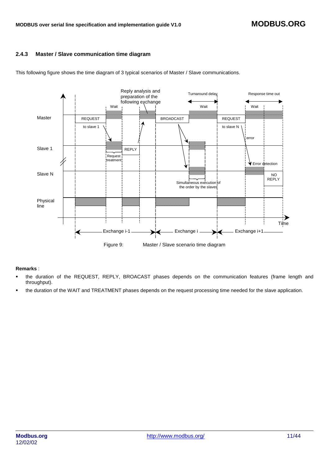### **2.4.3 Master / Slave communication time diagram**



This following figure shows the time diagram of 3 typical scenarios of Master / Slave communications.

## **Remarks** :

- the duration of the REQUEST, REPLY, BROACAST phases depends on the communication features (frame length and throughput).
- the duration of the WAIT and TREATMENT phases depends on the request processing time needed for the slave application.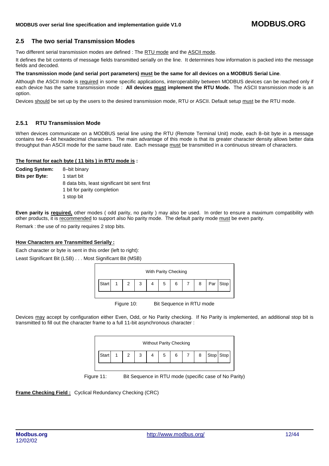# <span id="page-11-0"></span>**2.5 The two serial Transmission Modes**

Two different serial transmission modes are defined : The RTU mode and the ASCII mode.

It defines the bit contents of message fields transmitted serially on the line. It determines how information is packed into the message fields and decoded.

#### **The transmission mode (and serial port parameters) must be the same for all devices on a MODBUS Serial Line**.

Although the ASCII mode is required in some specific applications, interoperability between MODBUS devices can be reached only if each device has the same transmission mode : **All devices must implement the RTU Mode.** The ASCII transmission mode is an option.

Devices should be set up by the users to the desired transmission mode, RTU or ASCII. Default setup must be the RTU mode.

#### **2.5.1 RTU Transmission Mode**

When devices communicate on a MODBUS serial line using the RTU (Remote Terminal Unit) mode, each 8–bit byte in a message contains two 4–bit hexadecimal characters. The main advantage of this mode is that its greater character density allows better data throughput than ASCII mode for the same baud rate. Each message must be transmitted in a continuous stream of characters.

#### **The format for each byte ( 11 bits ) in RTU mode is :**

| <b>Coding System:</b> | 8-bit binary                                  |
|-----------------------|-----------------------------------------------|
| <b>Bits per Byte:</b> | 1 start bit                                   |
|                       | 8 data bits, least significant bit sent first |
|                       | 1 bit for parity completion                   |
|                       | 1 stop bit                                    |
|                       |                                               |

**Even parity is required,** other modes ( odd parity, no parity ) may also be used. In order to ensure a maximum compatibility with other products, it is recommended to support also No parity mode. The default parity mode must be even parity.

Remark : the use of no parity requires 2 stop bits.

#### **How Characters are Transmitted Serially :**

Each character or byte is sent in this order (left to right):

Least Significant Bit (LSB) . . . Most Significant Bit (MSB)



Figure 10: Bit Sequence in RTU mode

Devices may accept by configuration either Even, Odd, or No Parity checking. If No Parity is implemented, an additional stop bit is transmitted to fill out the character frame to a full 11-bit asynchronous character :

| <b>Without Parity Checking</b> |  |  |   |  |  |   |  |   |           |  |
|--------------------------------|--|--|---|--|--|---|--|---|-----------|--|
| Star                           |  |  | 2 |  |  | 6 |  | 8 | Stop Stop |  |

Figure 11: Bit Sequence in RTU mode (specific case of No Parity)

**Frame Checking Field :** Cyclical Redundancy Checking (CRC)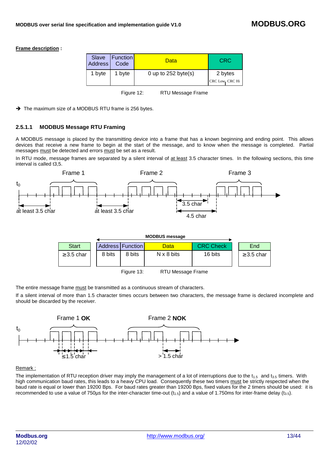#### **Frame description :**

| Address | Slave   Function  <br>Code | Data                  | CRC                       |
|---------|----------------------------|-----------------------|---------------------------|
| 1 byte  | 1 byte                     | 0 up to $252$ byte(s) | 2 bytes<br>CRC Low CRC Hi |

Figure 12: RTU Message Frame

 $\rightarrow$  The maximum size of a MODBUS RTU frame is 256 bytes.

## **2.5.1.1 MODBUS Message RTU Framing**

A MODBUS message is placed by the transmitting device into a frame that has a known beginning and ending point. This allows devices that receive a new frame to begin at the start of the message, and to know when the message is completed. Partial messages must be detected and errors must be set as a result.

In RTU mode, message frames are separated by a silent interval of at least 3.5 character times. In the following sections, this time interval is called t3,5.



|                 |  |        |                    | <b>MODBUS message</b> |                  |  |                 |  |
|-----------------|--|--------|--------------------|-----------------------|------------------|--|-----------------|--|
| <b>Start</b>    |  |        | Address   Function | <b>Data</b>           | <b>CRC Check</b> |  | End             |  |
| $\geq$ 3.5 char |  | 8 bits | 8 bits             | $N \times 8$ bits     | 16 bits          |  | $\geq$ 3.5 char |  |
| $-1$            |  |        |                    |                       |                  |  |                 |  |

Figure 13: RTU Message Frame

The entire message frame must be transmitted as a continuous stream of characters.

If a silent interval of more than 1.5 character times occurs between two characters, the message frame is declared incomplete and should be discarded by the receiver.



#### Remark :

The implementation of RTU reception driver may imply the management of a lot of interruptions due to the  $t_{1.5}$  and  $t_{3.5}$  timers. With high communication baud rates, this leads to a heavy CPU load. Consequently these two timers must be strictly respected when the baud rate is equal or lower than 19200 Bps. For baud rates greater than 19200 Bps, fixed values for the 2 timers should be used: it is recommended to use a value of 750 µs for the inter-character time-out  $(t_{1.5})$  and a value of 1.750ms for inter-frame delay  $(t_{3.5})$ .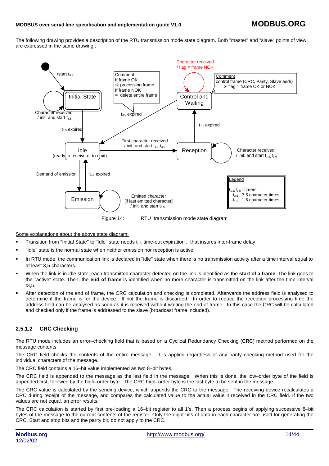# MODBUS over serial line specification and implementation guide V1.0 **MODBUS.ORG**

The following drawing provides a description of the RTU transmission mode state diagram. Both "master" and "slave" points of view are expressed in the same drawing :



Some explanations about the above state diagram:

- Transition from "Initial State" to "Idle" state needs  $t_{3.5}$  time-out expiration : that insures inter-frame delay
- "Idle" state is the normal state when neither emission nor reception is active.
- **IDED 15 a.m** in RTU mode, the communication link is declared in "idle" state when there is no transmission activity after a time interval equal to at least 3,5 characters.
- When the link is in idle state, each transmitted character detected on the link is identified as the **start of a frame**. The link goes to the "active" state. Then, the **end of frame** is identified when no more character is transmitted on the link after the time interval t3,5.
- After detection of the end of frame, the CRC calculation and checking is completed. Afterwards the address field is analysed to determine if the frame is for the device. If not the frame is discarded. In order to reduce the reception processing time the address field can be analysed as soon as it is received without waiting the end of frame. In this case the CRC will be calculated and checked only if the frame is addressed to the slave (broadcast frame included).

#### **2.5.1.2 CRC Checking**

The RTU mode includes an error–checking field that is based on a Cyclical Redundancy Checking (**CRC**) method performed on the message contents.

The CRC field checks the contents of the entire message. It is applied regardless of any parity checking method used for the individual characters of the message.

The CRC field contains a 16–bit value implemented as two 8–bit bytes.

The CRC field is appended to the message as the last field in the message. When this is done, the low–order byte of the field is appended first, followed by the high–order byte. The CRC high–order byte is the last byte to be sent in the message.

The CRC value is calculated by the sending device, which appends the CRC to the message. The receiving device recalculates a CRC during receipt of the message, and compares the calculated value to the actual value it received in the CRC field. If the two values are not equal, an error results.

The CRC calculation is started by first pre-loading a 16–bit register to all 1's. Then a process begins of applying successive 8–bit bytes of the message to the current contents of the register. Only the eight bits of data in each character are used for generating the CRC. Start and stop bits and the parity bit, do not apply to the CRC.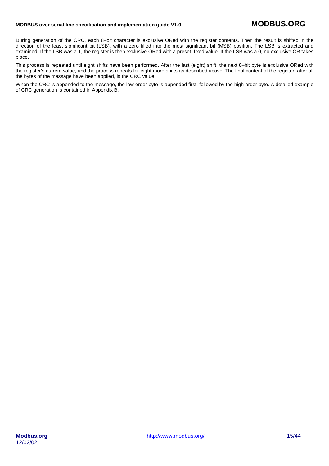# MODBUS over serial line specification and implementation guide V1.0 **MODBUS.ORG**

During generation of the CRC, each 8–bit character is exclusive ORed with the register contents. Then the result is shifted in the direction of the least significant bit (LSB), with a zero filled into the most significant bit (MSB) position. The LSB is extracted and examined. If the LSB was a 1, the register is then exclusive ORed with a preset, fixed value. If the LSB was a 0, no exclusive OR takes place.

This process is repeated until eight shifts have been performed. After the last (eight) shift, the next 8–bit byte is exclusive ORed with the register's current value, and the process repeats for eight more shifts as described above. The final content of the register, after all the bytes of the message have been applied, is the CRC value.

When the CRC is appended to the message, the low-order byte is appended first, followed by the high-order byte. A detailed example of CRC generation is contained in Appendix B.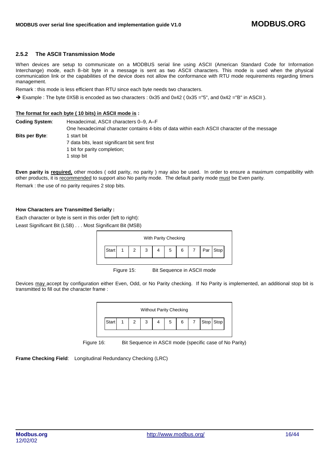## **2.5.2 The ASCII Transmission Mode**

When devices are setup to communicate on a MODBUS serial line using ASCII (American Standard Code for Information Interchange) mode, each 8–bit byte in a message is sent as two ASCII characters. This mode is used when the physical communication link or the capabilities of the device does not allow the conformance with RTU mode requirements regarding timers management.

Remark : this mode is less efficient than RTU since each byte needs two characters.

→ Example : The byte 0X5B is encoded as two characters : 0x35 and 0x42 (0x35 = 5", and 0x42 = "B" in ASCII).

#### **The format for each byte ( 10 bits) in ASCII mode is :**

| <b>Coding System:</b> | Hexadecimal, ASCII characters 0–9, A–F                                                       |
|-----------------------|----------------------------------------------------------------------------------------------|
|                       | One hexadecimal character contains 4-bits of data within each ASCII character of the message |
| <b>Bits per Byte:</b> | I start bit                                                                                  |
|                       | 7 data bits, least significant bit sent first                                                |
|                       | 1 bit for parity completion;                                                                 |
|                       | l stop bit                                                                                   |

**Even parity is required,** other modes ( odd parity, no parity ) may also be used. In order to ensure a maximum compatibility with other products, it is recommended to support also No parity mode. The default parity mode must be Even parity. Remark : the use of no parity requires 2 stop bits.

#### **How Characters are Transmitted Serially :**

Each character or byte is sent in this order (left to right): Least Significant Bit (LSB) . . . Most Significant Bit (MSB)

| With Parity Checking |  |   |   |  |   |   |  |     |      |
|----------------------|--|---|---|--|---|---|--|-----|------|
| Start                |  | r | 3 |  | 5 | 6 |  | Par | Stop |

Figure 15: Bit Sequence in ASCII mode

Devices may accept by configuration either Even, Odd, or No Parity checking. If No Parity is implemented, an additional stop bit is transmitted to fill out the character frame :



Figure 16: Bit Sequence in ASCII mode (specific case of No Parity)

**Frame Checking Field**: Longitudinal Redundancy Checking (LRC)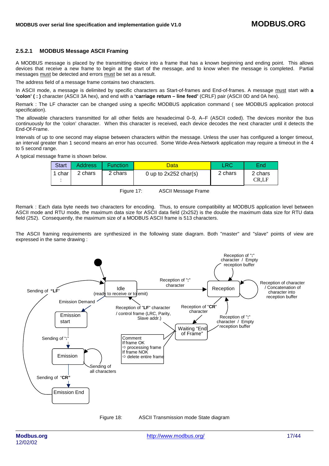#### **2.5.2.1 MODBUS Message ASCII Framing**

A MODBUS message is placed by the transmitting device into a frame that has a known beginning and ending point. This allows devices that receive a new frame to begin at the start of the message, and to know when the message is completed. Partial messages must be detected and errors must be set as a result.

The address field of a message frame contains two characters.

In ASCII mode, a message is delimited by specific characters as Start-of-frames and End-of-frames. A message must start with **a 'colon' ( : )** character (ASCII 3A hex), and end with a **'carriage return – line feed'** (CRLF) pair (ASCII 0D and 0A hex).

Remark : The LF character can be changed using a specific MODBUS application command ( see MODBUS application protocol specification).

The allowable characters transmitted for all other fields are hexadecimal 0–9, A–F (ASCII coded). The devices monitor the bus continuously for the 'colon' character. When this character is received, each device decodes the next character until it detects the End-Of-Frame.

Intervals of up to one second may elapse between characters within the message. Unless the user has configured a longer timeout, an interval greater than 1 second means an error has occurred. Some Wide-Area-Network application may require a timeout in the 4 to 5 second range.

A typical message frame is shown below.

| <b>Start</b> | <b>Address</b> | <b>Function</b> | Data                    | 1RC     | End              |
|--------------|----------------|-----------------|-------------------------|---------|------------------|
| 1 char       | 2 chars        | 2 chars         | 0 up to $2x252$ char(s) | 2 chars | 2 chars<br>CR.LF |

Figure 17: ASCII Message Frame

Remark : Each data byte needs two characters for encoding. Thus, to ensure compatibility at MODBUS application level between ASCII mode and RTU mode, the maximum data size for ASCII data field (2x252) is the double the maximum data size for RTU data field (252). Consequently, the maximum size of a MODBUS ASCII frame is 513 characters.

The ASCII framing requirements are synthesized in the following state diagram. Both "master" and "slave" points of view are expressed in the same drawing :



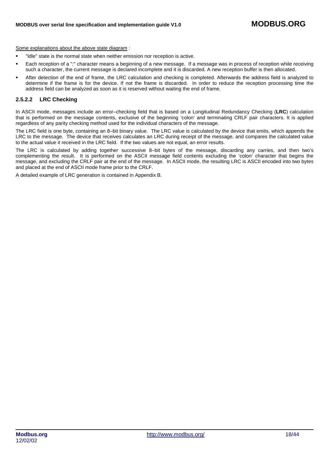Some explanations about the above state diagram :

- "Idle" state is the normal state when neither emission nor reception is active.
- Each reception of a ":" character means a beginning of a new message. If a message was in process of reception while receiving such a character, the current message is declared incomplete and it is discarded. A new reception buffer is then allocated.
- After detection of the end of frame, the LRC calculation and checking is completed. Afterwards the address field is analyzed to determine if the frame is for the device. If not the frame is discarded. In order to reduce the reception processing time the address field can be analyzed as soon as it is reserved without waiting the end of frame.

#### **2.5.2.2 LRC Checking**

In ASCII mode, messages include an error–checking field that is based on a Longitudinal Redundancy Checking (**LRC**) calculation that is performed on the message contents, exclusive of the beginning 'colon' and terminating CRLF pair characters. It is applied regardless of any parity checking method used for the individual characters of the message.

The LRC field is one byte, containing an 8–bit binary value. The LRC value is calculated by the device that emits, which appends the LRC to the message. The device that receives calculates an LRC during receipt of the message, and compares the calculated value to the actual value it received in the LRC field. If the two values are not equal, an error results.

The LRC is calculated by adding together successive 8–bit bytes of the message, discarding any carries, and then two's complementing the result. It is performed on the ASCII message field contents excluding the 'colon' character that begins the message, and excluding the CRLF pair at the end of the message. In ASCII mode, the resulting LRC is ASCII encoded into two bytes and placed at the end of ASCII mode frame prior to the CRLF.

A detailed example of LRC generation is contained in Appendix B.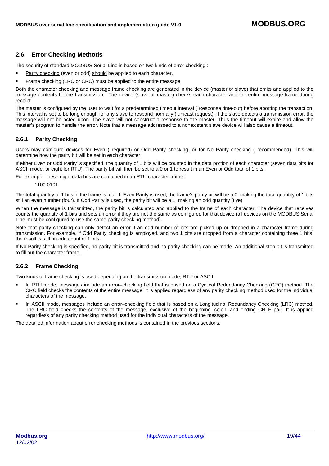# <span id="page-18-0"></span>**2.6 Error Checking Methods**

The security of standard MODBUS Serial Line is based on two kinds of error checking :

- Parity checking (even or odd) should be applied to each character.
- Frame checking (LRC or CRC) must be applied to the entire message.

Both the character checking and message frame checking are generated in the device (master or slave) that emits and applied to the message contents before transmission. The device (slave or master) checks each character and the entire message frame during receipt.

The master is configured by the user to wait for a predetermined timeout interval ( Response time-out) before aborting the transaction. This interval is set to be long enough for any slave to respond normally ( unicast request). If the slave detects a transmission error, the message will not be acted upon. The slave will not construct a response to the master. Thus the timeout will expire and allow the master's program to handle the error. Note that a message addressed to a nonexistent slave device will also cause a timeout.

#### **2.6.1 Parity Checking**

Users may configure devices for Even ( required) or Odd Parity checking, or for No Parity checking ( recommended). This will determine how the parity bit will be set in each character.

If either Even or Odd Parity is specified, the quantity of 1 bits will be counted in the data portion of each character (seven data bits for ASCII mode, or eight for RTU). The parity bit will then be set to a 0 or 1 to result in an Even or Odd total of 1 bits.

For example, these eight data bits are contained in an RTU character frame:

1100 0101

The total quantity of 1 bits in the frame is four. If Even Parity is used, the frame's parity bit will be a 0, making the total quantity of 1 bits still an even number (four). If Odd Parity is used, the parity bit will be a 1, making an odd quantity (five).

When the message is transmitted, the parity bit is calculated and applied to the frame of each character. The device that receives counts the quantity of 1 bits and sets an error if they are not the same as configured for that device (all devices on the MODBUS Serial Line must be configured to use the same parity checking method).

Note that parity checking can only detect an error if an odd number of bits are picked up or dropped in a character frame during transmission. For example, if Odd Parity checking is employed, and two 1 bits are dropped from a character containing three 1 bits, the result is still an odd count of 1 bits.

If No Parity checking is specified, no parity bit is transmitted and no parity checking can be made. An additional stop bit is transmitted to fill out the character frame.

# **2.6.2 Frame Checking**

Two kinds of frame checking is used depending on the transmission mode, RTU or ASCII.

- In RTU mode, messages include an error–checking field that is based on a Cyclical Redundancy Checking (CRC) method. The CRC field checks the contents of the entire message. It is applied regardless of any parity checking method used for the individual characters of the message.
- In ASCII mode, messages include an error–checking field that is based on a Longitudinal Redundancy Checking (LRC) method. The LRC field checks the contents of the message, exclusive of the beginning 'colon' and ending CRLF pair. It is applied regardless of any parity checking method used for the individual characters of the message.

The detailed information about error checking methods is contained in the previous sections.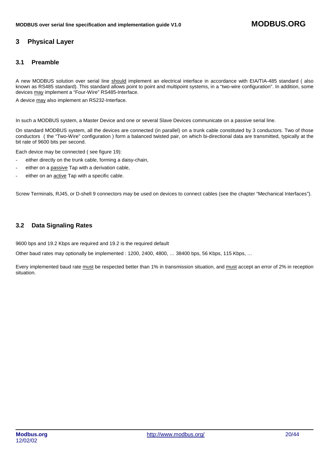# <span id="page-19-0"></span>**3 Physical Layer**

# **3.1 Preamble**

A new MODBUS solution over serial line should implement an electrical interface in accordance with EIA/TIA-485 standard (also known as RS485 standard). This standard allows point to point and multipoint systems, in a "two-wire configuration". In addition, some devices may implement a "Four-Wire" RS485-Interface.

A device may also implement an RS232-Interface.

In such a MODBUS system, a Master Device and one or several Slave Devices communicate on a passive serial line.

On standard MODBUS system, all the devices are connected (in parallel) on a trunk cable constituted by 3 conductors. Two of those conductors ( the "Two-Wire" configuration ) form a balanced twisted pair, on which bi-directional data are transmitted, typically at the bit rate of 9600 bits per second.

Each device may be connected ( see figure 19):

- either directly on the trunk cable, forming a daisy-chain,
- either on a passive Tap with a derivation cable,
- either on an **active** Tap with a specific cable.

Screw Terminals, RJ45, or D-shell 9 connectors may be used on devices to connect cables (see the chapter "Mechanical Interfaces").

# **3.2 Data Signaling Rates**

9600 bps and 19.2 Kbps are required and 19.2 is the required default

Other baud rates may optionally be implemented : 1200, 2400, 4800, ... 38400 bps, 56 Kbps, 115 Kbps, ...

Every implemented baud rate must be respected better than 1% in transmission situation, and must accept an error of 2% in reception situation.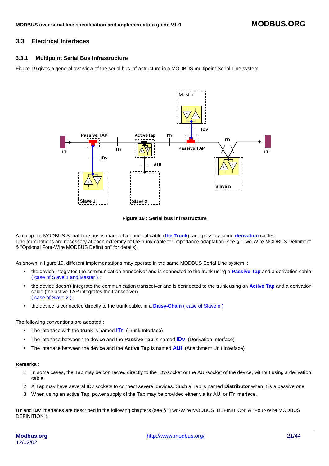# <span id="page-20-0"></span>**3.3 Electrical Interfaces**

#### **3.3.1 Multipoint Serial Bus Infrastructure**

Figure 19 gives a general overview of the serial bus infrastructure in a MODBUS multipoint Serial Line system.



**Figure 19 : Serial bus infrastructure**

A multipoint MODBUS Serial Line bus is made of a principal cable (**the Trunk**), and possibly some **derivation** cables. Line terminations are necessary at each extremity of the trunk cable for impedance adaptation (see § "Two-Wire MODBUS Definition" & "Optional Four-Wire MODBUS Definition" for details).

As shown in figure 19, different implementations may operate in the same MODBUS Serial Line system :

- the device integrates the communication transceiver and is connected to the trunk using a **Passive Tap** and a derivation cable ( case of Slave 1 and Master ) ;
- the device doesn't integrate the communication transceiver and is connected to the trunk using an **Active Tap** and a derivation cable (the active TAP integrates the transceiver) ( case of Slave 2 ) ;
- the device is connected directly to the trunk cable, in a **Daisy-Chain** ( case of Slave n )

The following conventions are adopted :

- The interface with the **trunk** is named **ITr** (Trunk Interface)
- The interface between the device and the **Passive Tap** is named **IDv** (Derivation Interface)
- The interface between the device and the **Active Tap** is named **AUI** (Attachment Unit Interface)

#### **Remarks :**

- 1. In some cases, the Tap may be connected directly to the IDv-socket or the AUI-socket of the device, without using a derivation cable.
- 2. A Tap may have several IDv sockets to connect several devices. Such a Tap is named **Distributor** when it is a passive one.
- 3. When using an active Tap, power supply of the Tap may be provided either via its AUI or ITr interface.

**ITr** and **IDv** interfaces are described in the following chapters (see § "Two-Wire MODBUS DEFINITION" & "Four-Wire MODBUS DEFINITION").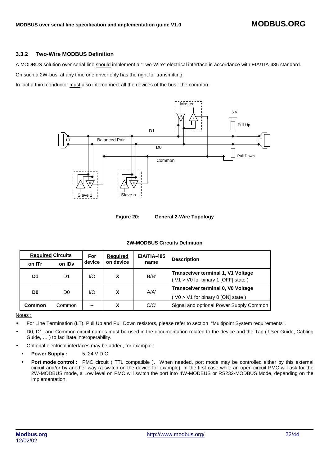#### **3.3.2 Two-Wire MODBUS Definition**

A MODBUS solution over serial line should implement a "Two-Wire" electrical interface in accordance with EIA/TIA-485 standard.

On such a 2W-bus, at any time one driver only has the right for transmitting.

In fact a third conductor must also interconnect all the devices of the bus : the common.



**Figure 20: General 2-Wire Topology** 

#### **2W-MODBUS Circuits Definition**

|                | <b>Required Circuits</b> |        | <b>Required</b> | EIA/TIA-485 | <b>Description</b>                                                       |  |
|----------------|--------------------------|--------|-----------------|-------------|--------------------------------------------------------------------------|--|
| on ITr         | on ID <sub>v</sub>       | device | on device       | name        |                                                                          |  |
| D1             | D1                       | I/O    | X               | B/B'        | Transceiver terminal 1, V1 Voltage<br>(V1 > V0 for binary 1 [OFF] state) |  |
| D <sub>0</sub> | D <sub>0</sub>           | I/O    | X               | A/A'        | Transceiver terminal 0, V0 Voltage<br>$VO > VI$ for binary 0 [ON] state) |  |
| Common         | Common                   | --     | X               | C/C'        | Signal and optional Power Supply Common                                  |  |

Notes :

- For Line Termination (LT), Pull Up and Pull Down resistors, please refer to section "Multipoint System requirements".
- D0, D1, and Common circuit names must be used in the documentation related to the device and the Tap (User Guide, Cabling Guide, … ) to facilitate interoperability.
- Optional electrical interfaces may be added, for example :
	- **Power Supply :**  $5..24$  **V D.C.**
	- **Port mode control :** PMC circuit ( TTL compatible ). When needed, port mode may be controlled either by this external circuit and/or by another way (a switch on the device for example). In the first case while an open circuit PMC will ask for the 2W-MODBUS mode, a Low level on PMC will switch the port into 4W-MODBUS or RS232-MODBUS Mode, depending on the implementation.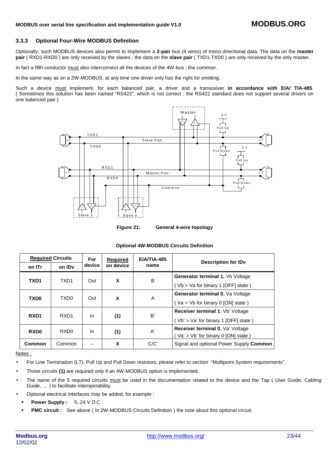#### **3.3.3 Optional Four-Wire MODBUS Definition**

Optionally, such MODBUS devices also permit to implement a **2-pair** bus (4 wires) of mono directional data. The data on the **master pair** ( RXD1-RXD0 ) are only received by the slaves ; the data on the **slave pair** ( TXD1-TXD0 ) are only received by the only master.

In fact a fifth conductor must also interconnect all the devices of the 4W-bus : the common.

In the same way as on a 2W-MODBUS, at any time one driver only has the right for emitting.

Such a device must implement, for each balanced pair, a driver and a transceiver **in accordance with EIA/ TIA-485**. ( Sometimes this solution has been named "RS422", which is not correct : the RS422 standard does not support several drivers on one balanced pair.)





#### **Optional 4W-MODBUS Circuits Definition**

|                  | <b>Required Circuits</b><br><b>For</b> |        | <b>Required</b>           | EIA/TIA-485   |                                         |                                  |
|------------------|----------------------------------------|--------|---------------------------|---------------|-----------------------------------------|----------------------------------|
| on ITr           | on ID <sub>v</sub>                     | device | on device                 | name          | <b>Description for IDv</b>              |                                  |
| TXD <sub>1</sub> | TXD <sub>1</sub>                       | Out    | X                         | B             | Generator terminal 1, Vb Voltage        |                                  |
|                  |                                        |        |                           |               | (Vb > Va for binary 1 [OFF] state)      |                                  |
| TXD <sub>0</sub> | TXD <sub>0</sub>                       | Out    |                           | X             | A                                       | Generator terminal 0, Va Voltage |
|                  |                                        |        |                           |               | (Va > Vb for binary 0 [ON] state)       |                                  |
| RXD <sub>1</sub> | RXD <sub>1</sub>                       | In     |                           | B'            | Receiver terminal 1, Vb' Voltage        |                                  |
|                  |                                        |        | (1)                       |               | (Vb' > Va' for binary 1 [OFF] state)    |                                  |
| RXD <sub>0</sub> | RXD <sub>0</sub>                       | In     | (1)                       | $\mathsf{A}'$ | Receiver terminal 0, Va' Voltage        |                                  |
|                  |                                        |        |                           |               | $Va' > Vb'$ for binary 0 [ON] state     |                                  |
| Common           | Common                                 | $- -$  | $\boldsymbol{\mathsf{x}}$ | C/C'          | Signal and optional Power Supply Common |                                  |

#### Notes :

- For Line Termination (LT), Pull Up and Pull Down resistors, please refer to section "Multipoint System requirements".
- Those circuits **(1)** are required only if an 4W-MODBUS option is implemented.
- The name of the 5 required circuits must be used in the documentation related to the device and the Tap (User Guide, Cabling Guide, … ) to facilitate interoperability.
- Optional electrical interfaces may be added, for example :
	- **Power Supply :** 5..24 V D.C.
	- **PMC circuit :** See above ( In 2W-MODBUS Circuits Definition ) the note about this optional circuit.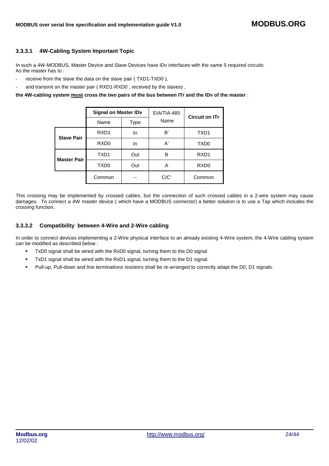#### **3.3.3.1 4W-Cabling System Important Topic**

In such a 4W-MODBUS, Master Device and Slave Devices have IDv interfaces with the same 5 required circuits. As the master has to :

- receive from the slave the data on the slave pair (TXD1-TXD0),
- and transmit on the master pair (RXD1-RXD0, received by the slaves),

**the 4W-cabling system must cross the two pairs of the bus between ITr and the IDv of the master** :

|                    | <b>Signal on Master IDv</b> |      | EIA/TIA-485 | <b>Circuit on ITr</b> |
|--------------------|-----------------------------|------|-------------|-----------------------|
|                    | Name                        | Type | Name        |                       |
| <b>Slave Pair</b>  | RXD1                        | In   | B'          | TXD1                  |
|                    | RXD <sub>0</sub>            | In   | A'          | TXD0                  |
| <b>Master Pair</b> | TXD <sub>1</sub>            | Out  | B           | RXD <sub>1</sub>      |
|                    | TXD <sub>0</sub>            | Out  | A           | RXD <sub>0</sub>      |
|                    | Common                      | --   | C/C'        | Common                |

This crossing may be implemented by crossed cables, but the connection of such crossed cables in a 2-wire system may cause damages. To connect a 4W master device ( which have a MODBUS connector) a better solution is to use a Tap which includes the crossing function.

#### **3.3.3.2 Compatibility between 4-Wire and 2-Wire cabling**

In order to connect devices implementing a 2-Wire physical interface to an already existing 4-Wire system, the 4-Wire cabling system can be modified as described below :

- TxD0 signal shall be wired with the RxD0 signal, turning them to the D0 signal
- TxD1 signal shall be wired with the RxD1 signal, turning them to the D1 signal.
- Pull-up, Pull-down and line terminations resistors shall be re-arranged to correctly adapt the D0, D1 signals.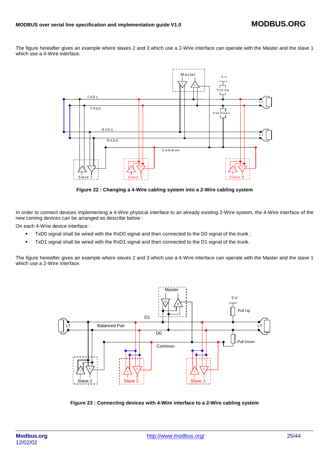The figure hereafter gives an example where slaves 2 and 3 which use a 2-Wire interface can operate with the Master and the slave 1 which use a 4-Wire interface.



**Figure 22 : Changing a 4-Wire cabling system into a 2-Wire cabling system** 

In order to connect devices implementing a 4-Wire physical interface to an already existing 2-Wire system, the 4-Wire interface of the new coming devices can be arranged as describe below :

On each 4-Wire device interface :

- TxD0 signal shall be wired with the RxD0 signal and then connected to the D0 signal of the trunk;
- TxD1 signal shall be wired with the RxD1 signal and then connected to the D1 signal of the trunk.

The figure hereafter gives an example where slaves 2 and 3 which use a 4-Wire interface can operate with the Master and the slave 1 which use a 2-Wire interface.



**Figure 23 : Connecting devices with 4-Wire interface to a 2-Wire cabling system**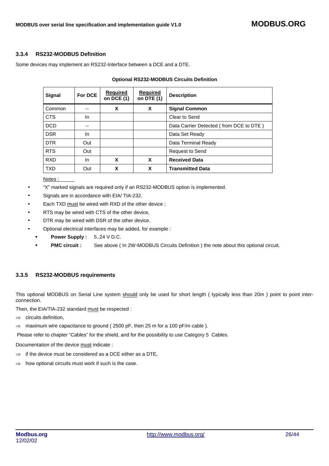#### **3.3.4 RS232-MODBUS Definition**

Some devices may implement an RS232-Interface between a DCE and a DTE.

| <b>Signal</b> | For DCE | Required<br>on DCE (1) | <b>Required</b><br>on DTE (1) | <b>Description</b>                      |
|---------------|---------|------------------------|-------------------------------|-----------------------------------------|
| Common        |         | X                      | X                             | <b>Signal Common</b>                    |
| <b>CTS</b>    | In.     |                        |                               | Clear to Send                           |
| <b>DCD</b>    | --      |                        |                               | Data Carrier Detected (from DCE to DTE) |
| <b>DSR</b>    | In.     |                        |                               | Data Set Ready                          |
| <b>DTR</b>    | Out     |                        |                               | Data Terminal Ready                     |
| <b>RTS</b>    | Out     |                        |                               | <b>Request to Send</b>                  |
| <b>RXD</b>    | In.     | X                      | X                             | <b>Received Data</b>                    |
| <b>TXD</b>    | Out     | X                      | X                             | <b>Transmitted Data</b>                 |

#### **Optional RS232-MODBUS Circuits Definition**

Notes :

- "X" marked signals are required only if an RS232-MODBUS option is implemented.
- Signals are in accordance with EIA/ TIA-232.
- Each TXD must be wired with RXD of the other device;
- RTS may be wired with CTS of the other device,
- DTR may be wired with DSR of the other device.
- Optional electrical interfaces may be added, for example :
	- **Power Supply :** 5..24 V D.C.
	- **PMC circuit :** See above ( In 2W-MODBUS Circuits Definition ) the note about this optional circuit.

# **3.3.5 RS232-MODBUS requirements**

This optional MODBUS on Serial Line system should only be used for short length ( typically less than 20m ) point to point interconnection.

Then, the EIA/TIA-232 standard must be respected :

- ⇒ circuits definition,
- ⇒ maximum wire capacitance to ground ( 2500 pF, then 25 m for a 100 pF/m cable ).

Please refer to chapter "Cables" for the shield, and for the possibility to use Category 5 Cables.

Documentation of the device must indicate :

- $\Rightarrow$  if the device must be considered as a DCE either as a DTE,
- $\Rightarrow$  how optional circuits must work if such is the case.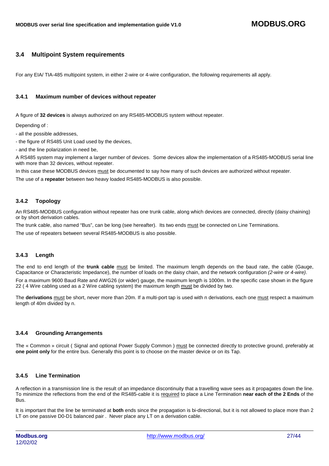# <span id="page-26-0"></span>**3.4 Multipoint System requirements**

For any EIA/ TIA-485 multipoint system, in either 2-wire or 4-wire configuration, the following requirements all apply.

#### **3.4.1 Maximum number of devices without repeater**

A figure of **32 devices** is always authorized on any RS485-MODBUS system without repeater.

Depending of :

- all the possible addresses,

- the figure of RS485 Unit Load used by the devices,

- and the line polarization in need be,

A RS485 system may implement a larger number of devices. Some devices allow the implementation of a RS485-MODBUS serial line with more than 32 devices, without repeater.

In this case these MODBUS devices must be documented to say how many of such devices are authorized without repeater.

The use of a **repeater** between two heavy loaded RS485-MODBUS is also possible.

#### **3.4.2 Topology**

An RS485-MODBUS configuration without repeater has one trunk cable, along which devices are connected, directly (daisy chaining) or by short derivation cables.

The trunk cable, also named "Bus", can be long (see hereafter). Its two ends must be connected on Line Terminations.

The use of repeaters between several RS485-MODBUS is also possible.

#### **3.4.3 Length**

The end to end length of the **trunk cable** must be limited. The maximum length depends on the baud rate, the cable (Gauge, Capacitance or Characteristic Impedance), the number of loads on the daisy chain, and the network configuration *(2-wire or 4-wire)*.

For a maximum 9600 Baud Rate and AWG26 (or wider) gauge, the maximum length is 1000m. In the specific case shown in the figure 22 ( 4 Wire cabling used as a 2 Wire cabling system) the maximum length must be divided by two.

The **derivations** must be short, never more than 20m. If a multi-port tap is used with n derivations, each one must respect a maximum length of 40m divided by n.

#### **3.4.4 Grounding Arrangements**

The « Common » circuit ( Signal and optional Power Supply Common ) must be connected directly to protective ground, preferably at **one point only** for the entire bus. Generally this point is to choose on the master device or on its Tap.

## **3.4.5 Line Termination**

A reflection in a transmission line is the result of an impedance discontinuity that a travelling wave sees as it propagates down the line. To minimize the reflections from the end of the RS485-cable it is required to place a Line Termination **near each of the 2 Ends** of the Bus.

It is important that the line be terminated at **both** ends since the propagation is bi-directional, but it is not allowed to place more than 2 LT on one passive D0-D1 balanced pair . Never place any LT on a derivation cable.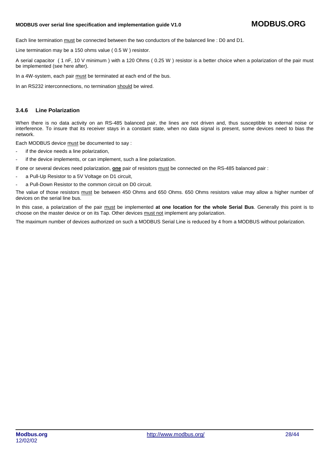# MODBUS over serial line specification and implementation guide V1.0 **MODBUS.ORG**

Each line termination must be connected between the two conductors of the balanced line : D0 and D1.

Line termination may be a 150 ohms value ( 0.5 W ) resistor.

A serial capacitor ( 1 nF, 10 V minimum ) with a 120 Ohms ( 0.25 W ) resistor is a better choice when a polarization of the pair must be implemented (see here after).

In a 4W-system, each pair must be terminated at each end of the bus.

In an RS232 interconnections, no termination should be wired.

#### **3.4.6 Line Polarization**

When there is no data activity on an RS-485 balanced pair, the lines are not driven and, thus susceptible to external noise or interference. To insure that its receiver stays in a constant state, when no data signal is present, some devices need to bias the network.

Each MODBUS device must be documented to say :

- if the device needs a line polarization,
- if the device implements, or can implement, such a line polarization.

If one or several devices need polarization, **one** pair of resistors must be connected on the RS-485 balanced pair :

- a Pull-Up Resistor to a 5V Voltage on D1 circuit,
- a Pull-Down Resistor to the common circuit on D0 circuit.

The value of those resistors must be between 450 Ohms and 650 Ohms. 650 Ohms resistors value may allow a higher number of devices on the serial line bus.

In this case, a polarization of the pair must be implemented **at one location for the whole Serial Bus**. Generally this point is to choose on the master device or on its Tap. Other devices must not implement any polarization.

The maximum number of devices authorized on such a MODBUS Serial Line is reduced by 4 from a MODBUS without polarization.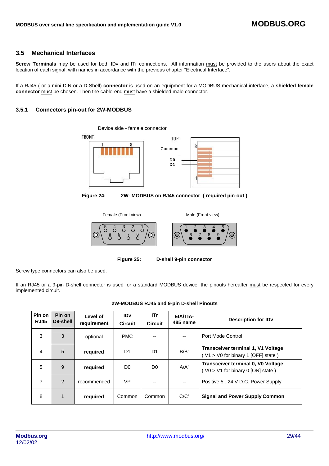# <span id="page-28-0"></span>**3.5 Mechanical Interfaces**

**Screw Terminals** may be used for both IDv and ITr connections. All information must be provided to the users about the exact location of each signal, with names in accordance with the previous chapter "Electrical Interface".

If a RJ45 ( or a mini-DIN or a D-Shell) **connector** is used on an equipment for a MODBUS mechanical interface, a **shielded female connector** must be chosen. Then the cable-end must have a shielded male connector.

#### **3.5.1 Connectors pin-out for 2W-MODBUS**

FRONT TOP g g Common **D0 D1**

**Figure 24: 2W- MODBUS on RJ45 connector ( required pin-out )**

Device side - female connector



**Figure 25: D-shell 9-pin connector**

Screw type connectors can also be used.

If an RJ45 or a 9-pin D-shell connector is used for a standard MODBUS device, the pinouts hereafter must be respected for every implemented circuit.

#### **2W-MODBUS RJ45 and 9-pin D-shell Pinouts**

| Pin on<br><b>RJ45</b> | Pin on<br>D9-shell | Level of<br>requirement | <b>IDv</b><br><b>Circuit</b> | ITr<br><b>Circuit</b> | EIA/TIA-<br>485 name     | <b>Description for IDv</b>                                                        |
|-----------------------|--------------------|-------------------------|------------------------------|-----------------------|--------------------------|-----------------------------------------------------------------------------------|
| 3                     | 3                  | optional                | <b>PMC</b>                   |                       | $\overline{\phantom{a}}$ | Port Mode Control                                                                 |
| 4                     | 5                  | required                | D1                           | D1                    | B/B'                     | <b>Transceiver terminal 1, V1 Voltage</b><br>$(V1 > V0$ for binary 1 [OFF] state) |
| 5                     | 9                  | required                | D <sub>0</sub>               | D <sub>0</sub>        | A/A'                     | Transceiver terminal 0, V0 Voltage<br>(V0 > V1 for binary 0 [ON] state)           |
| $\overline{7}$        | 2                  | recommended             | VP.                          |                       | $\overline{\phantom{a}}$ | Positive 524 V D.C. Power Supply                                                  |
| 8                     | 1                  | required                | Common                       | Common                | C/C'                     | <b>Signal and Power Supply Common</b>                                             |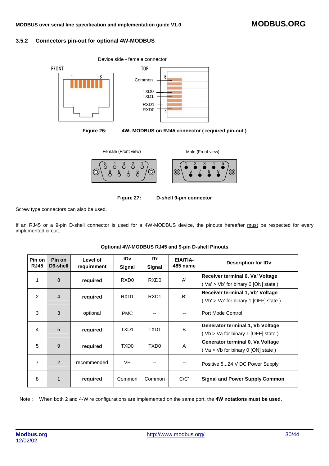# MODBUS over serial line specification and implementation guide V1.0 **MODBUS.ORG**

#### **3.5.2 Connectors pin-out for optional 4W-MODBUS**



**Figure 26: 4W- MODBUS on RJ45 connector ( required pin-out )** 





Screw type connectors can also be used.

If an RJ45 or a 9-pin D-shell connector is used for a 4W-MODBUS device, the pinouts hereafter must be respected for every implemented circuit.

| Pin on<br><b>RJ45</b> | Pin on<br>D9-shell | Level of<br>requirement | <b>IDv</b><br>Signal | ITr<br>Signal    | EIA/TIA-<br><b>485 name</b> | <b>Description for IDv</b>                                                 |
|-----------------------|--------------------|-------------------------|----------------------|------------------|-----------------------------|----------------------------------------------------------------------------|
| 1                     | 8                  | required                | RXD <sub>0</sub>     | RXD <sub>0</sub> | A'                          | Receiver terminal 0, Va' Voltage<br>$( Va' > Vb'$ for binary 0 [ON] state) |
| 2                     | 4                  | required                | RXD <sub>1</sub>     | RXD <sub>1</sub> | B'                          | Receiver terminal 1, Vb' Voltage<br>$(Vb' > Va'$ for binary 1 [OFF] state) |
| 3                     | 3                  | optional                | <b>PMC</b>           |                  |                             | Port Mode Control                                                          |
| 4                     | 5                  | required                | TXD1                 | TXD <sub>1</sub> | B                           | Generator terminal 1, Vb Voltage<br>(Vb > Va for binary 1 [OFF] state)     |
| 5                     | 9                  | required                | TXD <sub>0</sub>     | TXD <sub>0</sub> | A                           | Generator terminal 0, Va Voltage<br>( $Va > Vb$ for binary 0 [ON] state)   |
| 7                     | $\mathcal{P}$      | recommended             | VP                   |                  |                             | Positive 524 V DC Power Supply                                             |
| 8                     | 1                  | required                | Common               | Common           | C/C'                        | <b>Signal and Power Supply Common</b>                                      |

#### **Optional 4W-MODBUS RJ45 and 9-pin D-shell Pinouts**

Note : When both 2 and 4-Wire configurations are implemented on the same port, the **4W notations must be used.**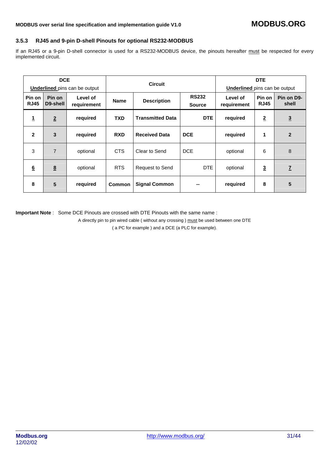# **3.5.3 RJ45 and 9-pin D-shell Pinouts for optional RS232-MODBUS**

If an RJ45 or a 9-pin D-shell connector is used for a RS232-MODBUS device, the pinouts hereafter must be respected for every implemented circuit.

|                       | <b>DCE</b><br><b>Underlined</b> pins can be output |                         | <b>Circuit</b> |                         |                               | <b>Underlined</b> pins can be output | <b>DTE</b>              |                     |
|-----------------------|----------------------------------------------------|-------------------------|----------------|-------------------------|-------------------------------|--------------------------------------|-------------------------|---------------------|
| Pin on<br><b>RJ45</b> | Pin on<br>D9-shell                                 | Level of<br>requirement | <b>Name</b>    | <b>Description</b>      | <b>RS232</b><br><b>Source</b> | Level of<br>requirement              | Pin on<br><b>RJ45</b>   | Pin on D9-<br>shell |
| 1                     | $\overline{2}$                                     | required                | <b>TXD</b>     | <b>Transmitted Data</b> | DTE                           | required                             | $\overline{\mathbf{2}}$ | $\overline{3}$      |
| $\overline{2}$        | 3                                                  | required                | <b>RXD</b>     | <b>Received Data</b>    | <b>DCE</b>                    | required                             | 1                       | $\overline{2}$      |
| 3                     | $\overline{7}$                                     | optional                | CTS.           | Clear to Send           | DCE                           | optional                             | 6                       | 8                   |
| $6\overline{6}$       | 8                                                  | optional                | <b>RTS</b>     | <b>Request to Send</b>  | DTE.                          | optional                             | <u>3</u>                | $\overline{I}$      |
| 8                     | 5                                                  | required                | <b>Common</b>  | <b>Signal Common</b>    | --                            | required                             | 8                       | 5                   |

**Important Note** : Some DCE Pinouts are crossed with DTE Pinouts with the same name :

A directly pin to pin wired cable ( without any crossing ) must be used between one DTE

( a PC for example ) and a DCE (a PLC for example).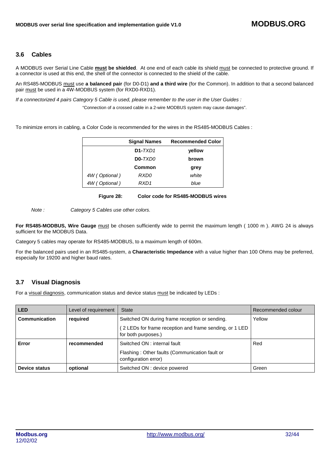# <span id="page-31-0"></span>**3.6 Cables**

A MODBUS over Serial Line Cable **must be shielded**. At one end of each cable its shield must be connected to protective ground. If a connector is used at this end, the shell of the connector is connected to the shield of the cable.

An RS485-MODBUS must use **a balanced pair** (for D0-D1) **and a third wire** (for the Common). In addition to that a second balanced pair must be used in a 4W-MODBUS system (for RXD0-RXD1).

*If a connectorized 4 pairs Category 5 Cable is used, please remember to the user in the User Guides :* 

"Connection of a crossed cable in a 2-wire MODBUS system may cause damages".

To minimize errors in cabling, a Color Code is recommended for the wires in the RS485-MODBUS Cables :

|               | <b>Signal Names</b> | <b>Recommended Color</b> |
|---------------|---------------------|--------------------------|
|               | $D1-TXD1$           | yellow                   |
|               | $DO-TXDO$           | brown                    |
|               | Common              | grey                     |
| 4W (Optional) | RXD0                | white                    |
| 4W (Optional) | RXD1                | blue                     |

**Figure 28: Color code for RS485-MODBUS wires**

*Note : Category 5 Cables use other colors.* 

**For RS485-MODBUS, Wire Gauge** must be chosen sufficiently wide to permit the maximum length ( 1000 m ). AWG 24 is always sufficient for the MODBUS Data.

Category 5 cables may operate for RS485-MODBUS, to a maximum length of 600m.

For the balanced pairs used in an RS485-system, a **Characteristic Impedance** with a value higher than 100 Ohms may be preferred, especially for 19200 and higher baud rates.

# **3.7 Visual Diagnosis**

For a visual diagnosis, communication status and device status must be indicated by LEDs :

| <b>LED</b>           | Level of requirement | <b>State</b>                                                                   | Recommended colour |
|----------------------|----------------------|--------------------------------------------------------------------------------|--------------------|
| Communication        | required             | Switched ON during frame reception or sending.                                 | Yellow             |
|                      |                      | (2 LEDs for frame reception and frame sending, or 1 LED<br>for both purposes.) |                    |
| Error                | recommended          | Switched ON : internal fault                                                   | Red                |
|                      |                      | Flashing: Other faults (Communication fault or<br>configuration error)         |                    |
| <b>Device status</b> | optional             | Switched ON : device powered                                                   | Green              |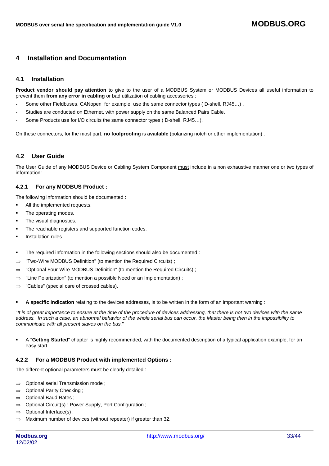# <span id="page-32-0"></span>**4 Installation and Documentation**

# **4.1 Installation**

**Product vendor should pay attention** to give to the user of a MODBUS System or MODBUS Devices all useful information to prevent them **from any error in cabling** or bad utilization of cabling accessories :

- Some other Fieldbuses, CANopen for example, use the same connector types (D-shell, RJ45...).
- Studies are conducted on Ethernet, with power supply on the same Balanced Pairs Cable.
- Some Products use for I/O circuits the same connector types (D-shell, RJ45...).

On these connectors, for the most part, **no foolproofing** is **available** (polarizing notch or other implementation) .

# **4.2 User Guide**

The User Guide of any MODBUS Device or Cabling System Component must include in a non exhaustive manner one or two types of information:

#### **4.2.1 For any MODBUS Product :**

The following information should be documented :

- All the implemented requests.
- The operating modes.
- The visual diagnostics.
- The reachable registers and supported function codes.
- Installation rules.
- The required information in the following sections should also be documented :
- ⇒ "Two-Wire MODBUS Definition" (to mention the Required Circuits) ;
- ⇒ "Optional Four-Wire MODBUS Definition" (to mention the Required Circuits) ;
- ⇒ "Line Polarization" (to mention a possible Need or an Implementation) ;
- ⇒ "Cables" (special care of crossed cables).
- **A specific indication** relating to the devices addresses, is to be written in the form of an important warning :

"*It is of great importance to ensure at the time of the procedure of devices addressing, that there is not two devices with the same address. In such a case, an abnormal behavior of the whole serial bus can occur, the Master being then in the impossibility to communicate with all present slaves on the bus.*"

 A "**Getting Started**" chapter is highly recommended, with the documented description of a typical application example, for an easy start.

#### **4.2.2 For a MODBUS Product with implemented Options :**

The different optional parameters must be clearly detailed :

- ⇒ Optional serial Transmission mode ;
- ⇒ Optional Parity Checking ;
- ⇒ Optional Baud Rates ;
- ⇒ Optional Circuit(s) : Power Supply, Port Configuration ;
- ⇒ Optional Interface(s) ;
- ⇒ Maximum number of devices (without repeater) if greater than 32.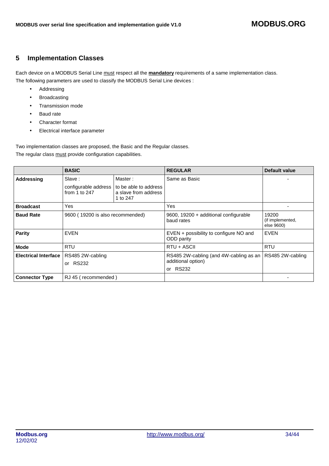# <span id="page-33-0"></span>**5 Implementation Classes**

Each device on a MODBUS Serial Line must respect all the **mandatory** requirements of a same implementation class. The following parameters are used to classify the MODBUS Serial Line devices :

- Addressing
- Broadcasting
- Transmission mode
- Baud rate
- Character format
- Electrical interface parameter

Two implementation classes are proposed, the Basic and the Regular classes. The regular class must provide configuration capabilities.

|                             | <b>BASIC</b>                     |                                                                                  | <b>REGULAR</b>                                       | <b>Default value</b>                    |
|-----------------------------|----------------------------------|----------------------------------------------------------------------------------|------------------------------------------------------|-----------------------------------------|
| <b>Addressing</b>           | Slave:                           | Master:                                                                          | Same as Basic                                        |                                         |
|                             | from 1 to $247$                  | configurable address   to be able to address<br>a slave from address<br>1 to 247 |                                                      |                                         |
| <b>Broadcast</b>            | <b>Yes</b>                       |                                                                                  | Yes                                                  |                                         |
| <b>Baud Rate</b>            | 9600 (19200 is also recommended) |                                                                                  | 9600, 19200 + additional configurable<br>baud rates  | 19200<br>(if implemented,<br>else 9600) |
| <b>Parity</b>               | <b>EVEN</b>                      |                                                                                  | EVEN + possibility to configure NO and<br>ODD parity | <b>EVEN</b>                             |
| <b>Mode</b>                 | <b>RTU</b>                       |                                                                                  | RTU + ASCII                                          | <b>RTU</b>                              |
| <b>Electrical Interface</b> | RS485 2W-cabling                 |                                                                                  | RS485 2W-cabling (and 4W-cabling as an               | RS485 2W-cabling                        |
|                             | <b>RS232</b><br>or               |                                                                                  | additional option)                                   |                                         |
|                             |                                  |                                                                                  | or RS232                                             |                                         |
| <b>Connector Type</b>       | RJ 45 (recommended)              |                                                                                  |                                                      |                                         |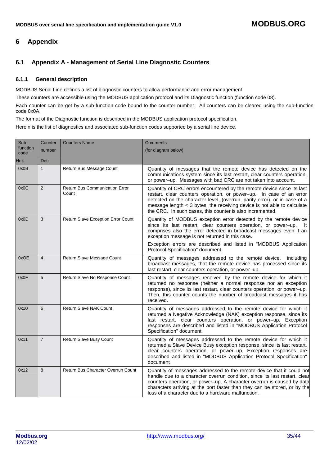# <span id="page-34-0"></span>**6 Appendix**

# **6.1 Appendix A - Management of Serial Line Diagnostic Counters**

## **6.1.1 General description**

MODBUS Serial Line defines a list of diagnostic counters to allow performance and error management.

These counters are accessible using the MODBUS application protocol and its Diagnostic function (function code 08).

Each counter can be get by a sub-function code bound to the counter number. All counters can be cleared using the sub-function code 0x0A.

The format of the Diagnostic function is described in the MODBUS application protocol specification.

Herein is the list of diagnostics and associated sub-function codes supported by a serial line device.

| Sub-             | Counter        | <b>Counters Name</b>                           | Comments                                                                                                                                                                                                                                                                                                                                                           |
|------------------|----------------|------------------------------------------------|--------------------------------------------------------------------------------------------------------------------------------------------------------------------------------------------------------------------------------------------------------------------------------------------------------------------------------------------------------------------|
| function<br>code | number         |                                                | (for diagram below)                                                                                                                                                                                                                                                                                                                                                |
| -lex             | <b>Dec</b>     |                                                |                                                                                                                                                                                                                                                                                                                                                                    |
| 0x0B             | $\mathbf{1}$   | Return Bus Message Count                       | Quantity of messages that the remote device has detected on the<br>communications system since its last restart, clear counters operation,<br>or power-up. Messages with bad CRC are not taken into account.                                                                                                                                                       |
| 0x0C             | 2              | <b>Return Bus Communication Error</b><br>Count | Quantity of CRC errors encountered by the remote device since its last<br>restart, clear counters operation, or power-up. In case of an error<br>detected on the character level, (overrun, parity error), or in case of a<br>message length < 3 bytes, the receiving device is not able to calculate<br>the CRC. In such cases, this counter is also incremented. |
| 0x0D             | 3              | Return Slave Exception Error Count             | Quantity of MODBUS exception error detected by the remote device<br>since its last restart, clear counters operation, or power-up.<br>It<br>comprises also the error detected in broadcast messages even if an<br>exception message is not returned in this case.                                                                                                  |
|                  |                |                                                | Exception errors are described and listed in "MODBUS Application<br>Protocol Specification" document.                                                                                                                                                                                                                                                              |
| 0xOE             | $\overline{4}$ | Return Slave Message Count                     | Quantity of messages addressed to the remote device,<br>includina<br>broadcast messages, that the remote device has processed since its<br>last restart, clear counters operation, or power-up.                                                                                                                                                                    |
| 0x0F             | 5              | Return Slave No Response Count                 | Quantity of messages received by the remote device for which it<br>returned no response (neither a normal response nor an exception<br>response), since its last restart, clear counters operation, or power-up.<br>Then, this counter counts the number of broadcast messages it has<br>received.                                                                 |
| 0x10             | 6              | Return Slave NAK Count                         | Quantity of messages addressed to the remote device for which it<br>returned a Negative Acknowledge (NAK) exception response, since its<br>last restart, clear counters operation, or power-up. Exception<br>responses are described and listed in "MODBUS Application Protocol<br>Specification" document.                                                        |
| 0x11             | $\overline{7}$ | Return Slave Busy Count                        | Quantity of messages addressed to the remote device for which it<br>returned a Slave Device Busy exception response, since its last restart,<br>clear counters operation, or power-up. Exception responses are<br>described and listed in "MODBUS Application Protocol Specification"<br>document                                                                  |
| 0x12             | 8              | Return Bus Character Overrun Count             | Quantity of messages addressed to the remote device that it could not<br>handle due to a character overrun condition, since its last restart, clear<br>counters operation, or power-up. A character overrun is caused by data<br>characters arriving at the port faster than they can be stored, or by the<br>loss of a character due to a hardware malfunction.   |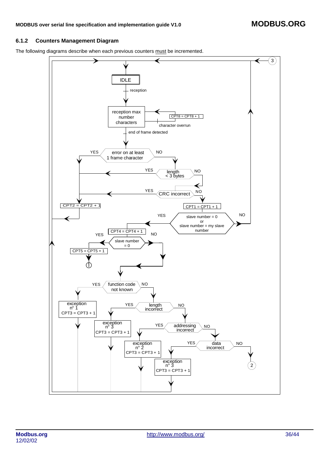# **6.1.2 Counters Management Diagram**

The following diagrams describe when each previous counters must be incremented.

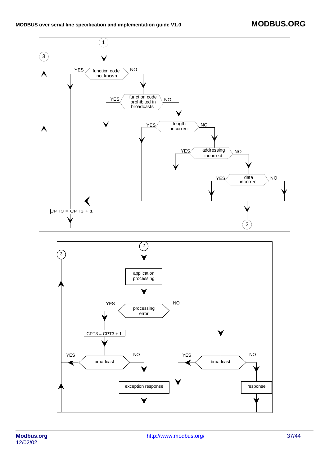

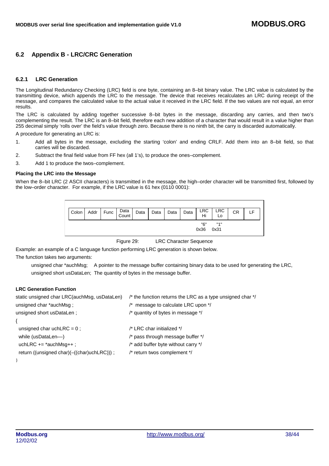# <span id="page-37-0"></span>**6.2 Appendix B - LRC/CRC Generation**

#### **6.2.1 LRC Generation**

The Longitudinal Redundancy Checking (LRC) field is one byte, containing an 8–bit binary value. The LRC value is calculated by the transmitting device, which appends the LRC to the message. The device that receives recalculates an LRC during receipt of the message, and compares the calculated value to the actual value it received in the LRC field. If the two values are not equal, an error results.

The LRC is calculated by adding together successive 8–bit bytes in the message, discarding any carries, and then two's complementing the result. The LRC is an 8–bit field, therefore each new addition of a character that would result in a value higher than 255 decimal simply 'rolls over' the field's value through zero. Because there is no ninth bit, the carry is discarded automatically.

A procedure for generating an LRC is:

- 1. Add all bytes in the message, excluding the starting 'colon' and ending CRLF. Add them into an 8–bit field, so that carries will be discarded.
- 2. Subtract the final field value from FF hex (all 1's), to produce the ones–complement.
- 3. Add 1 to produce the twos–complement.

#### **Placing the LRC into the Message**

When the 8–bit LRC (2 ASCII characters) is transmitted in the message, the high–order character will be transmitted first, followed by the low–order character. For example, if the LRC value is 61 hex (0110 0001):



Figure 29: LRC Character Sequence

Example: an example of a C language function performing LRC generation is shown below.

The function takes two arguments:

unsigned char \*auchMsg; A pointer to the message buffer containing binary data to be used for generating the LRC, unsigned short usDataLen; The quantity of bytes in the message buffer.

#### **LRC Generation Function**

| static unsigned char LRC(auchMsg, usDataLen) | /* the function returns the LRC as a type unsigned char */ |
|----------------------------------------------|------------------------------------------------------------|
| unsigned char *auchMsg ;                     | message to calculate LRC upon */<br>$\prime^*$             |
| unsigned short usDataLen ;                   | /* quantity of bytes in message */                         |
|                                              |                                                            |
| unsigned char uch LRC = $0$ :                | /* LRC char initialized */                                 |
| while (usDataLen---)                         | /* pass through message buffer */                          |
| uchLRC $+=$ *auchMsg++;                      | /* add buffer byte without carry */                        |
| return ((unsigned char)(-((char)uchLRC)));   | /* return twos complement */                               |
|                                              |                                                            |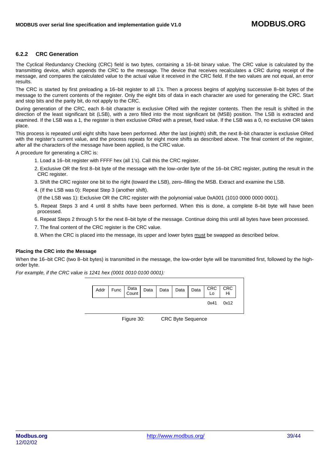## **6.2.2 CRC Generation**

The Cyclical Redundancy Checking (CRC) field is two bytes, containing a 16–bit binary value. The CRC value is calculated by the transmitting device, which appends the CRC to the message. The device that receives recalculates a CRC during receipt of the message, and compares the calculated value to the actual value it received in the CRC field. If the two values are not equal, an error results.

The CRC is started by first preloading a 16–bit register to all 1's. Then a process begins of applying successive 8–bit bytes of the message to the current contents of the register. Only the eight bits of data in each character are used for generating the CRC. Start and stop bits and the parity bit, do not apply to the CRC.

During generation of the CRC, each 8–bit character is exclusive ORed with the register contents. Then the result is shifted in the direction of the least significant bit (LSB), with a zero filled into the most significant bit (MSB) position. The LSB is extracted and examined. If the LSB was a 1, the register is then exclusive ORed with a preset, fixed value. If the LSB was a 0, no exclusive OR takes place.

This process is repeated until eight shifts have been performed. After the last (eighth) shift, the next 8–bit character is exclusive ORed with the register's current value, and the process repeats for eight more shifts as described above. The final content of the register, after all the characters of the message have been applied, is the CRC value.

A procedure for generating a CRC is:

- 1. Load a 16–bit register with FFFF hex (all 1's). Call this the CRC register.
- 2. Exclusive OR the first 8–bit byte of the message with the low–order byte of the 16–bit CRC register, putting the result in the CRC register.
- 3. Shift the CRC register one bit to the right (toward the LSB), zero–filling the MSB. Extract and examine the LSB.
- 4. (If the LSB was 0): Repeat Step 3 (another shift).
	- (If the LSB was 1): Exclusive OR the CRC register with the polynomial value 0xA001 (1010 0000 0000 0001).

5. Repeat Steps 3 and 4 until 8 shifts have been performed. When this is done, a complete 8–bit byte will have been processed.

- 6. Repeat Steps 2 through 5 for the next 8–bit byte of the message. Continue doing this until all bytes have been processed.
- 7. The final content of the CRC register is the CRC value.
- 8. When the CRC is placed into the message, its upper and lower bytes must be swapped as described below.

#### **Placing the CRC into the Message**

When the 16–bit CRC (two 8–bit bytes) is transmitted in the message, the low-order byte will be transmitted first, followed by the highorder byte.

*For example, if the CRC value is 1241 hex (0001 0010 0100 0001):* 



Figure 30: CRC Byte Sequence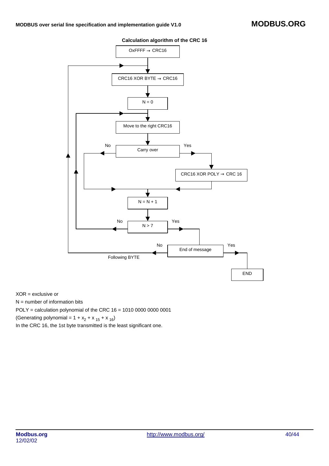#### **Calculation algorithm of the CRC 16**



XOR = exclusive or

 $N =$  number of information bits

POLY = calculation polynomial of the CRC 16 = 1010 0000 0000 0001

(Generating polynomial =  $1 + x_2 + x_{15} + x_{16}$ )

In the CRC 16, the 1st byte transmitted is the least significant one.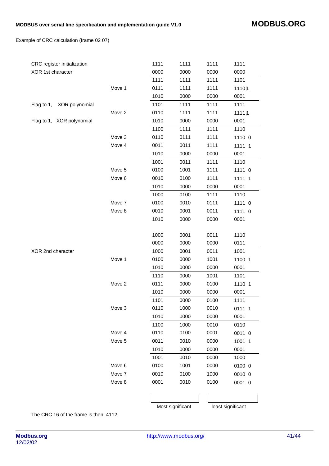Example of CRC calculation (frame 02 07)

|                              |                  |              | Most significant | least significant |                  |  |
|------------------------------|------------------|--------------|------------------|-------------------|------------------|--|
|                              |                  |              |                  |                   |                  |  |
|                              |                  |              |                  |                   |                  |  |
|                              | Move 8           | 0010<br>0001 | 0010             | 1000<br>0100      | 0001 0           |  |
|                              | Move 6<br>Move 7 | 0100         | 1001<br>0100     | 0000              | 0100 0<br>0010 0 |  |
|                              |                  | 1001         | 0010             | 0000              | 1000             |  |
|                              |                  | 1010         | 0000             | 0000              | 0001             |  |
|                              | Move 5           | 0011         | 0010             | 0000              | $1001$  1        |  |
|                              | Move 4           | 0110         | 0100             | 0001              | 0011 0           |  |
|                              |                  | 1100         | 1000             | 0010              | 0110             |  |
|                              |                  | 1010         | 0000             | 0000              | 0001             |  |
|                              | Move 3           | 0110         | 1000             | 0010              | $0111$  1        |  |
|                              |                  | 1101         | 0000             | 0100              | 1111             |  |
|                              |                  | 1010         | 0000             | 0000              | 0001             |  |
|                              | Move 2           | 0111         | 0000             | 0100              | 1110 1           |  |
|                              |                  | 1110         | 0000             | 1001              | 1101             |  |
|                              |                  | 1010         | 0000             | 0000              | 0001             |  |
|                              | Move 1           | 0100         | 0000             | 1001              | $1100$   1       |  |
| XOR 2nd character            |                  | 1000         | 0001             | 0011              | 1001             |  |
|                              |                  | 0000         | 0000             | 0000              | 0111             |  |
|                              |                  | 1000         | 0001             | 0011              | 1110             |  |
|                              |                  |              |                  |                   |                  |  |
|                              |                  | 1010         | 0000             | 0000              | 0001             |  |
|                              | Move 8           | 0010         | 0001             | 0011              | 1111 0           |  |
|                              | Move 7           | 0100         | 0010             | 0111              | 1111 0           |  |
|                              |                  | 1000         | 0100             | 1111              | 1110             |  |
|                              |                  | 1010         | 0000             | 0000              | 0001             |  |
|                              | Move 6           | 0010         | 0100             | 1111              | $1111$  1        |  |
|                              | Move 5           | 0100         | 1001             | 1111              | 1111 0           |  |
|                              |                  | 1001         | 0011             | 1111              | 1110             |  |
|                              |                  | 1010         | 0000             | 0000              | 0001             |  |
|                              | Move 4           | 0011         | 0011             | 1111              | $1111$  1        |  |
|                              | Move 3           | 0110         | 0111             | 1111              | 1110 0           |  |
|                              |                  | 1100         | 1111             | 1111              | 1110             |  |
| Flag to 1, XOR polynomial    |                  | 1010         | 0000             | 0000              | 0001             |  |
|                              | Move 2           | 0110         | 1111             | 1111              | 1111 1           |  |
| XOR polynomial<br>Flag to 1, |                  | 1101         | 1111             | 1111              | 1111             |  |
|                              |                  | 1010         | 0000             | 0000              | 0001             |  |
|                              | Move 1           | 0111         | 1111             | 1111              | 1110 1           |  |
|                              |                  | 1111         | 1111             | 1111              | 1101             |  |
| XOR 1st character            |                  | 0000         | 0000             | 0000              | 0000             |  |
| CRC register initialization  |                  | 1111         | 1111             | 1111              | 1111             |  |

The CRC 16 of the frame is then: 4112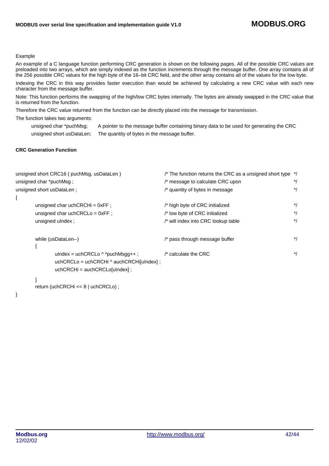#### Example

An example of a C language function performing CRC generation is shown on the following pages. All of the possible CRC values are preloaded into two arrays, which are simply indexed as the function increments through the message buffer. One array contains all of the 256 possible CRC values for the high byte of the 16–bit CRC field, and the other array contains all of the values for the low byte.

Indexing the CRC in this way provides faster execution than would be achieved by calculating a new CRC value with each new character from the message buffer.

Note: This function performs the swapping of the high/low CRC bytes internally. The bytes are already swapped in the CRC value that is returned from the function.

Therefore the CRC value returned from the function can be directly placed into the message for transmission.

The function takes two arguments:

return (uchCRCHi << 8 | uchCRCLo) ;

unsigned char \*puchMsg; A pointer to the message buffer containing binary data to be used for generating the CRC unsigned short usDataLen; The quantity of bytes in the message buffer.

# **CRC Generation Function**

| unsigned short CRC16 (puchMsg, usDataLen)       | $\prime$ * The function returns the CRC as a unsigned short type $\prime\prime$<br>/* message to calculate CRC upon |       |  |  |  |  |
|-------------------------------------------------|---------------------------------------------------------------------------------------------------------------------|-------|--|--|--|--|
| unsigned char *puchMsg;                         |                                                                                                                     |       |  |  |  |  |
| unsigned short usDataLen ;                      | /* quantity of bytes in message                                                                                     | $^*/$ |  |  |  |  |
|                                                 |                                                                                                                     |       |  |  |  |  |
| unsigned char uchCRCH $i = 0xFF$ :              | /* high byte of CRC initialized                                                                                     | $^*/$ |  |  |  |  |
| unsigned char uch CRCLo = $0xFF$ ;              | /* low byte of CRC initialized                                                                                      |       |  |  |  |  |
| unsigned ulndex;                                | /* will index into CRC lookup table                                                                                 |       |  |  |  |  |
| while (usDataLen--)                             | /* pass through message buffer                                                                                      | $^*/$ |  |  |  |  |
|                                                 |                                                                                                                     |       |  |  |  |  |
| ulndex = uchCRCLo $\wedge$ *puchMsgg++;         | $\prime^*$ calculate the CRC                                                                                        | $^*/$ |  |  |  |  |
| $uchCRCLo = uchCRCHi \wedge auchCRCHi[uhdex]$ ; |                                                                                                                     |       |  |  |  |  |
| $uchCRCHi = auchCRCLo[ulndex]$ ;                |                                                                                                                     |       |  |  |  |  |
|                                                 |                                                                                                                     |       |  |  |  |  |

```
}
```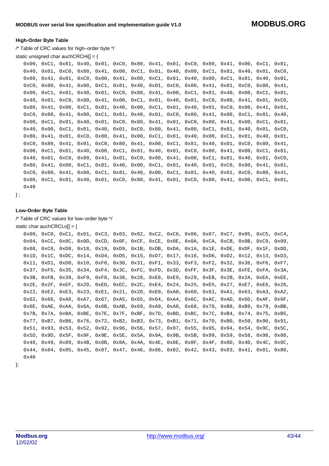#### **High-Order Byte Table**

/\* Table of CRC values for high–order byte \*/

```
static unsigned char auch CRCHi[] = \{
```

|      |  |  |  |  |  | $0x00$ , $0xC1$ , $0x81$ , $0x40$ , $0x01$ , $0xC0$ , $0x80$ , $0x41$ , $0x01$ , $0xC0$ , $0x80$ , $0x41$ , $0x00$ , $0xC1$ , $0x81$ ,                                                                                         |  |
|------|--|--|--|--|--|--------------------------------------------------------------------------------------------------------------------------------------------------------------------------------------------------------------------------------|--|
|      |  |  |  |  |  | $0x40$ , $0x01$ , $0x00$ , $0x80$ , $0x41$ , $0x00$ , $0xC1$ , $0x81$ , $0x40$ , $0x01$ , $0xC1$ , $0x81$ , $0x40$ , $0x01$ , $0xC0$ ,                                                                                         |  |
|      |  |  |  |  |  | $0x80$ , $0x41$ , $0x01$ , $0xC0$ , $0x80$ , $0x41$ , $0x00$ , $0xC1$ , $0x81$ , $0x40$ , $0x01$ , $0xC1$ , $0x81$ , $0x40$ , $0x01$ ,                                                                                         |  |
|      |  |  |  |  |  | $0xC0$ , $0x80$ , $0x41$ , $0x00$ , $0xC1$ , $0x81$ , $0x40$ , $0x01$ , $0xC0$ , $0x80$ , $0x41$ , $0x01$ , $0xC0$ , $0x80$ , $0x41$ ,                                                                                         |  |
|      |  |  |  |  |  | $0x00$ , $0xC1$ , $0x81$ , $0x40$ , $0x01$ , $0xC0$ , $0x80$ , $0x41$ , $0x00$ , $0xC1$ , $0x81$ , $0x40$ , $0x00$ , $0xC1$ , $0x81$ ,                                                                                         |  |
|      |  |  |  |  |  | $0x40$ , $0x01$ , $0x00$ , $0x80$ , $0x41$ , $0x00$ , $0xC1$ , $0x81$ , $0x40$ , $0x01$ , $0xC0$ , $0x80$ , $0x41$ , $0x01$ , $0xC0$ ,                                                                                         |  |
|      |  |  |  |  |  | $0x80$ , $0x41$ , $0x00$ , $0xC1$ , $0x81$ , $0x40$ , $0x00$ , $0xC1$ , $0x81$ , $0x40$ , $0x01$ , $0xC0$ , $0x80$ , $0x41$ , $0x01$ ,                                                                                         |  |
|      |  |  |  |  |  | $0xC0$ , $0x80$ , $0x41$ , $0x00$ , $0xC1$ , $0x81$ , $0x40$ , $0x01$ , $0xC0$ , $0x80$ , $0x41$ , $0x00$ , $0xC1$ , $0x81$ , $0x40$ ,                                                                                         |  |
|      |  |  |  |  |  | $0x00, 0xC1, 0x81, 0x40, 0x01, 0xC0, 0x80, 0x41, 0x01, 0xC0, 0x80, 0x41, 0x00, 0xC1, 0x81, 0x00, 0x01, 0x01, 0x01, 0x01, 0x01, 0x01, 0x01, 0x01, 0x01, 0x01, 0x01, 0x01, 0x01, 0x01, 0x01, 0x01, 0x01, 0x01, 0x01, 0x01, 0x01$ |  |
|      |  |  |  |  |  | $0x40$ , $0x00$ , $0xC1$ , $0x81$ , $0x40$ , $0x01$ , $0xC0$ , $0x80$ , $0x41$ , $0x00$ , $0xC1$ , $0x81$ , $0x40$ , $0x01$ , $0xC0$ ,                                                                                         |  |
|      |  |  |  |  |  | $0x80$ , $0x41$ , $0x01$ , $0x00$ , $0x80$ , $0x41$ , $0x00$ , $0xC1$ , $0x81$ , $0x40$ , $0x01$ , $0xC1$ , $0x81$ , $0x40$ , $0x01$ ,                                                                                         |  |
|      |  |  |  |  |  | $0xC0$ , $0x80$ , $0x41$ , $0x01$ , $0xC0$ , $0x80$ , $0x41$ , $0x00$ , $0xC1$ , $0x81$ , $0x40$ , $0x01$ , $0xC0$ , $0x80$ , $0x41$ ,                                                                                         |  |
|      |  |  |  |  |  | $0x00$ , $0xC1$ , $0x81$ , $0x40$ , $0x00$ , $0xC1$ , $0x81$ , $0x40$ , $0x01$ , $0xC0$ , $0x80$ , $0x41$ , $0x00$ , $0xC1$ , $0x81$ ,                                                                                         |  |
|      |  |  |  |  |  | $0x40$ , $0x01$ , $0xC0$ , $0x80$ , $0x41$ , $0x01$ , $0xC0$ , $0x80$ , $0x41$ , $0x00$ , $0xC1$ , $0x81$ , $0x40$ , $0x01$ , $0xC0$ ,                                                                                         |  |
|      |  |  |  |  |  | $0x80$ , $0x41$ , $0x00$ , $0xC1$ , $0x81$ , $0x40$ , $0x00$ , $0xC1$ , $0x81$ , $0x40$ , $0x01$ , $0xC0$ , $0x80$ , $0x41$ , $0x01$ ,                                                                                         |  |
|      |  |  |  |  |  | $0xC0$ , $0x80$ , $0x41$ , $0x00$ , $0xC1$ , $0x81$ , $0x40$ , $0x00$ , $0xC1$ , $0x81$ , $0x40$ , $0x01$ , $0xC0$ , $0x80$ , $0x41$ ,                                                                                         |  |
|      |  |  |  |  |  | $0x00$ , $0xC1$ , $0x81$ , $0x40$ , $0x01$ , $0xC0$ , $0x80$ , $0x41$ , $0x01$ , $0xC0$ , $0x80$ , $0x41$ , $0x00$ , $0xC1$ , $0x81$ ,                                                                                         |  |
| 0x40 |  |  |  |  |  |                                                                                                                                                                                                                                |  |

} ;

#### **Low-Order Byte Table**

/\* Table of CRC values for low–order byte \*/

static char auchCRCLo[] = {

```
0x00, 0xC0, 0xC1, 0x01, 0xC3, 0x03, 0x02, 0xC2, 0xC6, 0x06, 0x07, 0xC7, 0x05, 0xC5, 0xC4,
0x04, 0xCC, 0x0C, 0x0D, 0xCD, 0x0F, 0xCF, 0xCE, 0x0E, 0x0A, 0xCA, 0xCB, 0x0B, 0xC9, 0x09,
0x08, 0xC8, 0xD8, 0x18, 0x19, 0xD9, 0x1B, 0xDB, 0xDA, 0x1A, 0x1E, 0xDE, 0xDF, 0x1F, 0xDD,
0x1D, 0x1C, 0xDC, 0x14, 0xD4, 0xD5, 0x15, 0xD7, 0x17, 0x16, 0xD6, 0xD2, 0x12, 0x13, 0xD3,
0x11, 0xD1, 0xD0, 0x10, 0xF0, 0x30, 0x31, 0xF1, 0x33, 0xF3, 0xF2, 0x32, 0x36, 0xF6, 0xF7,
0x37, 0xF5, 0x35, 0x34, 0xF4, 0x3C, 0xFC, 0xFD, 0x3D, 0xFF, 0x3F, 0x3E, 0xFE, 0xFA, 0x3A,
0x3B, 0xFB, 0x39, 0xF9, 0xF8, 0x38, 0x28, 0xE8, 0xE9, 0x29, 0xEB, 0x2B, 0x2A, 0xEA, 0xEE,
0x2E, 0x2F, 0xEF, 0x2D, 0xED, 0xEC, 0x2C, 0xE4, 0x24, 0x25, 0xE5, 0x27, 0xE7, 0xE6, 0x26,
0x22, 0xE2, 0xE3, 0x23, 0xE1, 0x21, 0x20, 0xE0, 0xA0, 0x60, 0x61, 0xA1, 0x63, 0xA3, 0xA2,
0x62, 0x66, 0xA6, 0xA7, 0x67, 0xA5, 0x65, 0x64, 0xA4, 0x6C, 0xAC, 0xAD, 0x6D, 0xAF, 0x6F,
0x6E, 0xAE, 0xAA, 0x6A, 0x6B, 0xAB, 0x69, 0xA9, 0xA8, 0x68, 0x78, 0xB8, 0xB9, 0x79, 0xBB,
0x7B, 0x7A, 0xBA, 0xBE, 0x7E, 0x7F, 0xBF, 0x7D, 0xBD, 0xBC, 0x7C, 0xB4, 0x74, 0x75, 0xB5,
0x77, 0xB7, 0xB6, 0x76, 0x72, 0xB2, 0xB3, 0x73, 0xB1, 0x71, 0x70, 0xB0, 0x50, 0x90, 0x91,
0x51, 0x93, 0x53, 0x52, 0x92, 0x96, 0x56, 0x57, 0x97, 0x55, 0x95, 0x94, 0x54, 0x9C, 0x5C,
0x5D, 0x9D, 0x5F, 0x9F, 0x9E, 0x5E, 0x5A, 0x9A, 0x9B, 0x5B, 0x99, 0x59, 0x58, 0x98, 0x88,
0x48, 0x49, 0x89, 0x4B, 0x8B, 0x8A, 0x4A, 0x4E, 0x8E, 0x8F, 0x4F, 0x8D, 0x4D, 0x4C, 0x8C,
0x44, 0x84, 0x85, 0x45, 0x87, 0x47, 0x46, 0x86, 0x82, 0x42, 0x43, 0x83, 0x41, 0x81, 0x80,
0x40
```

```
};
```